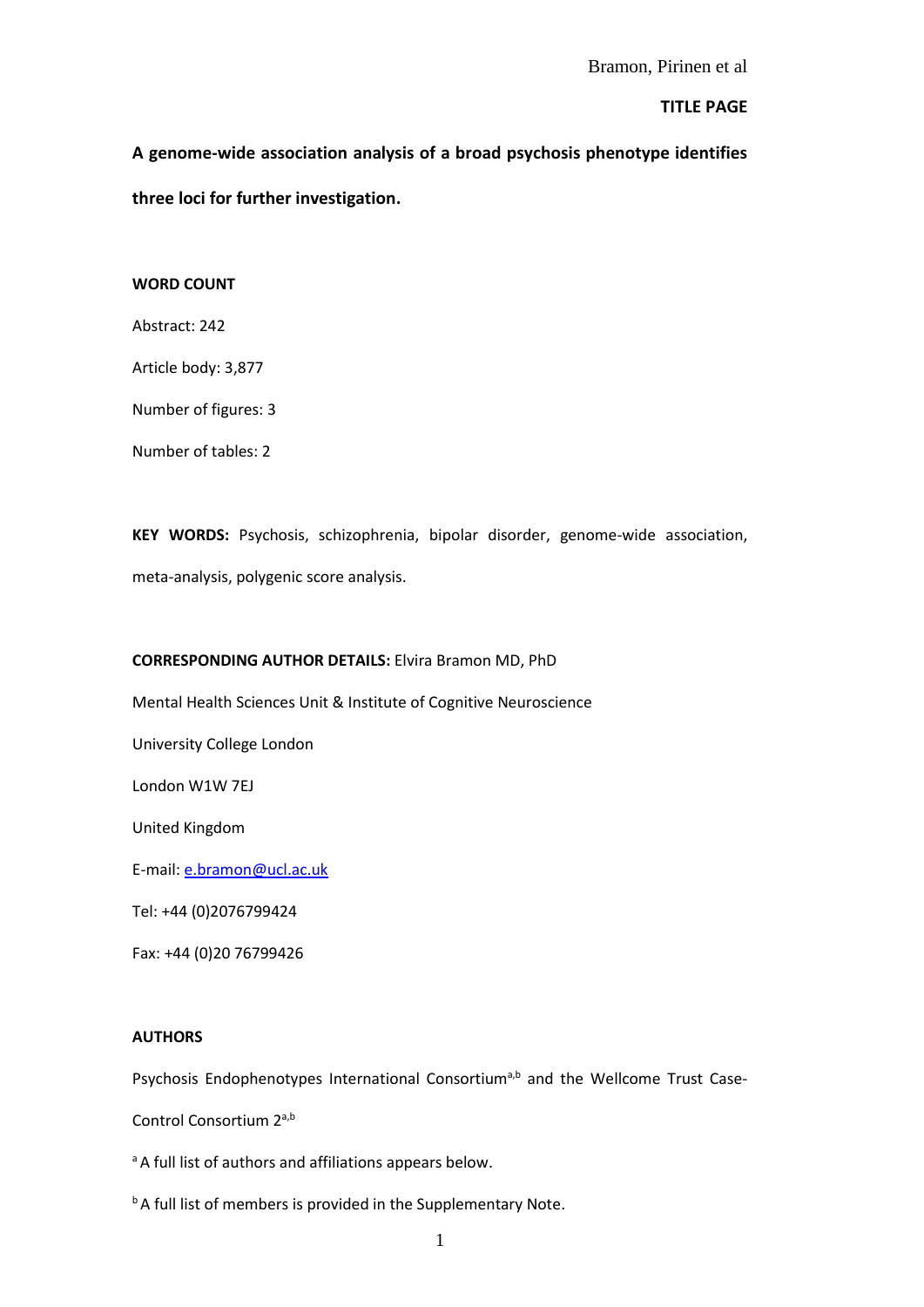# **TITLE PAGE**

**A genome-wide association analysis of a broad psychosis phenotype identifies three loci for further investigation.**

#### **WORD COUNT**

Abstract: 242

Article body: 3,877

Number of figures: 3

Number of tables: 2

**KEY WORDS:** Psychosis, schizophrenia, bipolar disorder, genome-wide association,

meta-analysis, polygenic score analysis.

#### **CORRESPONDING AUTHOR DETAILS:** Elvira Bramon MD, PhD

Mental Health Sciences Unit & Institute of Cognitive Neuroscience

University College London

London W1W 7EJ

United Kingdom

E-mail[: e.bramon@ucl.ac.uk](mailto:e.bramon@ucl.ac.uk)

Tel: +44 (0)2076799424

Fax: +44 (0)20 76799426

#### **AUTHORS**

Psychosis Endophenotypes International Consortium<sup>a,b</sup> and the Wellcome Trust Case-

Control Consortium 2<sup>a,b</sup>

<sup>a</sup> A full list of authors and affiliations appears below.

 $<sup>b</sup>$  A full list of members is provided in the Supplementary Note.</sup>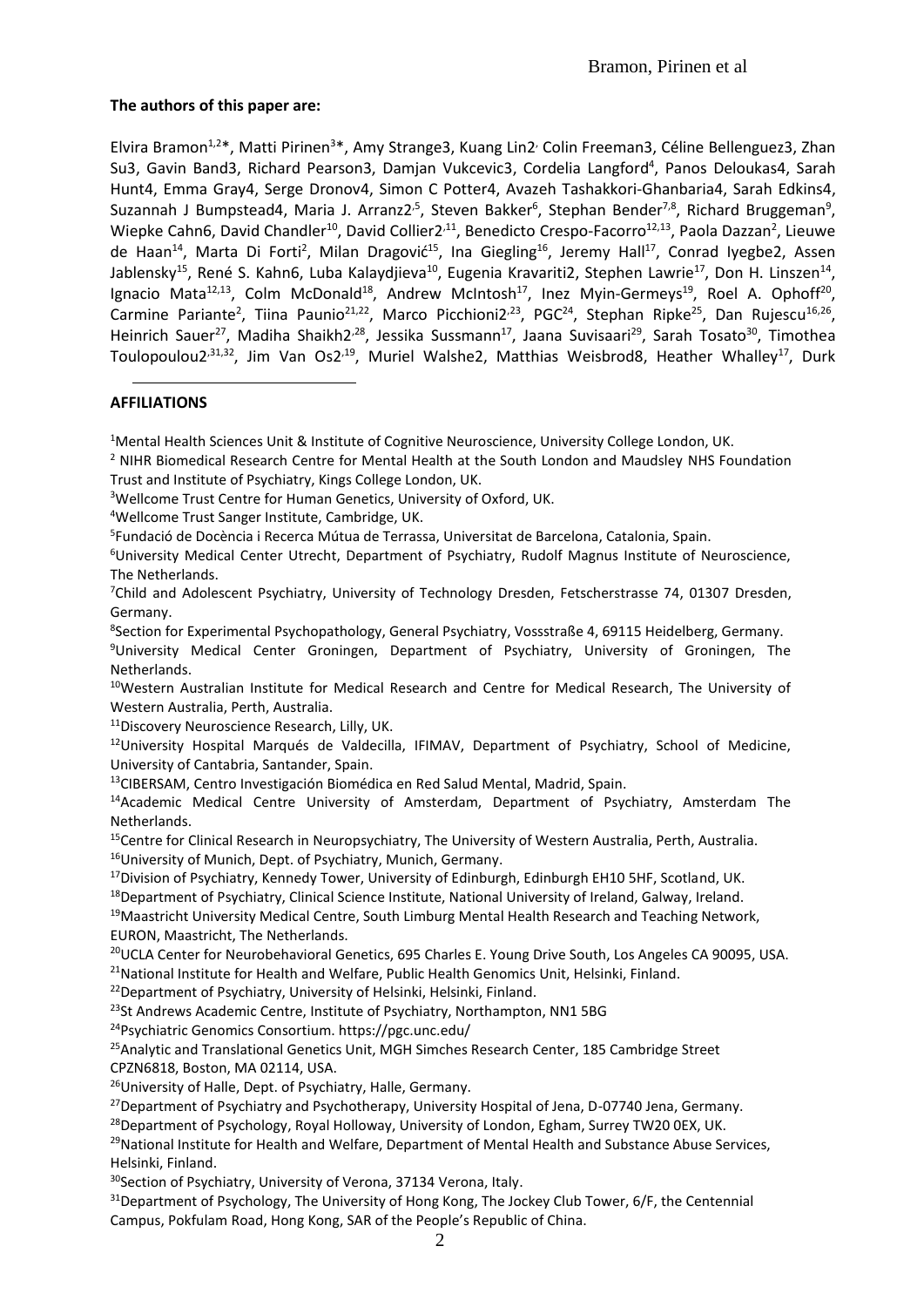## **The authors of this paper are:**

<span id="page-1-12"></span><span id="page-1-7"></span><span id="page-1-5"></span><span id="page-1-3"></span><span id="page-1-2"></span><span id="page-1-1"></span><span id="page-1-0"></span>Elvira Bramon<sup>1,2\*</sup>, Matti Pirinen<sup>3\*</sup>, Amy Strang[e3,](#page-1-0) Kuang Li[n2](#page-1-1)<sup>,</sup> Colin Freema[n3,](#page-1-0) Céline Bellengue[z3,](#page-1-0) Zhan S[u3,](#page-1-0) Gavin Ban[d3,](#page-1-0) Richard Pearso[n3,](#page-1-0) Damjan Vukcevi[c3,](#page-1-0) Cordelia Langford<sup>4</sup>, Panos Delouka[s4,](#page-1-2) Sarah Hun[t4,](#page-1-2) Emma Gra[y4,](#page-1-2) Serge Drono[v4,](#page-1-2) Simon C Potte[r4,](#page-1-2) Avazeh Tashakkori-Ghanbari[a4,](#page-1-2) Sarah Edkin[s4,](#page-1-2) Suzannah J Bumpstea[d4,](#page-1-2) Maria J. Arran[z2](#page-1-1)<sup>,5</sup>, Steven Bakker<sup>6</sup>, Stephan Bender<sup>7,8</sup>, Richard Bruggeman<sup>9</sup>, Wiepke Cah[n6,](#page-1-3) David Chandler<sup>10</sup>, David Collie[r2](#page-1-1)<sup>,11</sup>, Benedicto Crespo-Facorro<sup>12,13</sup>, Paola Dazzan<sup>2</sup>, Lieuwe de Haan<sup>14</sup>, Marta Di Forti<sup>2</sup>, Milan Dragović<sup>15</sup>, Ina Giegling<sup>16</sup>, Jeremy Hall<sup>17</sup>, Conrad Iyegb[e2,](#page-1-1) Assen Jablensky<sup>[15](#page-1-4)</sup>, René S. Kah[n6,](#page-1-3) Luba Kalaydjieva<sup>[10](#page-1-5)</sup>, Eugenia Kravarit[i2,](#page-1-1) Stephen Lawrie<sup>[17](#page-1-6)</sup>, Don H. Linszen<sup>[14](#page-1-7)</sup>, Ignacio Mata<sup>[12,](#page-1-8)[13](#page-1-9)</sup>, Colm McDonald<sup>18</sup>, Andrew McIntosh<sup>[17](#page-1-6)</sup>, Inez Myin-Germeys<sup>19</sup>, Roel A. Ophoff<sup>20</sup>, Carmin[e](#page-1-1) Pariante<sup>2</sup>, Tiina Paunio<sup>21,22</sup>, Marco Picchio[ni2](#page-1-1)<sup>,23</sup>, PGC<sup>24</sup>, Stephan Ripke<sup>25</sup>, Dan Rujescu<sup>[16,2](#page-1-10)6</sup>, Heinrich Sauer<sup>27</sup>, Madiha Shaik[h2](#page-1-1)<sup>,28</sup>, Jessika Sussmann<sup>[17](#page-1-6)</sup>, Jaana Suvisaari<sup>29</sup>, Sarah Tosato<sup>30</sup>, Timothea Toulopoulo[u2](#page-1-1)<sup>,31,32</sup>, Jim Van O[s2](#page-1-1)<sup>[,19](#page-1-11)</sup>, Muriel Walsh[e2,](#page-1-1) Matthias Weisbro[d8,](#page-1-12) Heather Whalley<sup>[17](#page-1-6)</sup>, Durk

## **AFFILIATIONS**

<span id="page-1-13"></span><span id="page-1-11"></span><span id="page-1-10"></span><span id="page-1-9"></span><span id="page-1-8"></span><span id="page-1-6"></span><span id="page-1-4"></span> $\overline{a}$ 

<sup>1</sup>Mental Health Sciences Unit & Institute of Cognitive Neuroscience, University College London, UK.

<sup>2</sup> NIHR Biomedical Research Centre for Mental Health at the South London and Maudsley NHS Foundation Trust and Institute of Psychiatry, Kings College London, UK.

<sup>3</sup>Wellcome Trust Centre for Human Genetics, University of Oxford, UK.

<sup>4</sup>Wellcome Trust Sanger Institute, Cambridge, UK.

5 Fundació de Docència i Recerca Mútua de Terrassa, Universitat de Barcelona, Catalonia, Spain.

<sup>6</sup>University Medical Center Utrecht, Department of Psychiatry, Rudolf Magnus Institute of Neuroscience, The Netherlands.

<sup>7</sup>Child and Adolescent Psychiatry, University of Technology Dresden, Fetscherstrasse 74, 01307 Dresden, Germany.

8 Section for Experimental Psychopathology, General Psychiatry, Vossstraße 4, 69115 Heidelberg, Germany.

<sup>9</sup>University Medical Center Groningen, Department of Psychiatry, University of Groningen, The Netherlands.

<sup>10</sup>Western Australian Institute for Medical Research and Centre for Medical Research, The University of Western Australia, Perth, Australia.

11Discovery Neuroscience Research, Lilly, UK.

 $12$ University Hospital Marqués de Valdecilla, IFIMAV, Department of Psychiatry, School of Medicine, University of Cantabria, Santander, Spain.

<sup>13</sup>CIBERSAM, Centro Investigación Biomédica en Red Salud Mental, Madrid, Spain.

<sup>14</sup>Academic Medical Centre University of Amsterdam, Department of Psychiatry, Amsterdam The Netherlands.

<sup>15</sup>Centre for Clinical Research in Neuropsychiatry, The University of Western Australia, Perth, Australia.

16University of Munich, Dept. of Psychiatry, Munich, Germany.

<sup>17</sup>Division of Psychiatry, Kennedy Tower, University of Edinburgh, Edinburgh EH10 5HF, Scotland, UK.

<sup>18</sup>Department of Psychiatry, Clinical Science Institute, National University of Ireland, Galway, Ireland.

<sup>19</sup>Maastricht University Medical Centre, South Limburg Mental Health Research and Teaching Network, EURON, Maastricht, The Netherlands.

<sup>20</sup>UCLA Center for Neurobehavioral Genetics, 695 Charles E. Young Drive South, Los Angeles CA 90095, USA.

<sup>21</sup>National Institute for Health and Welfare, Public Health Genomics Unit, Helsinki, Finland.

<sup>22</sup>Department of Psychiatry, University of Helsinki, Helsinki, Finland.

<sup>23</sup>St Andrews Academic Centre, Institute of Psychiatry, Northampton, NN1 5BG

<sup>24</sup>Psychiatric Genomics Consortium. https://pgc.unc.edu/

<sup>25</sup>Analytic and Translational Genetics Unit, MGH Simches Research Center, 185 Cambridge Street CPZN6818, Boston, MA 02114, USA.

<sup>26</sup>University of Halle, Dept. of Psychiatry, Halle, Germany.

 $^{27}$ Department of Psychiatry and Psychotherapy, University Hospital of Jena, D-07740 Jena, Germany.

<sup>28</sup>Department of Psychology, Royal Holloway, University of London, Egham, Surrey TW20 0EX, UK.

<sup>29</sup>National Institute for Health and Welfare, Department of Mental Health and Substance Abuse Services, Helsinki, Finland.

30Section of Psychiatry, University of Verona, 37134 Verona, Italy.

<sup>31</sup>Department of Psychology, The University of Hong Kong, The Jockey Club Tower, 6/F, the Centennial Campus, Pokfulam Road, Hong Kong, SAR of the People's Republic of China.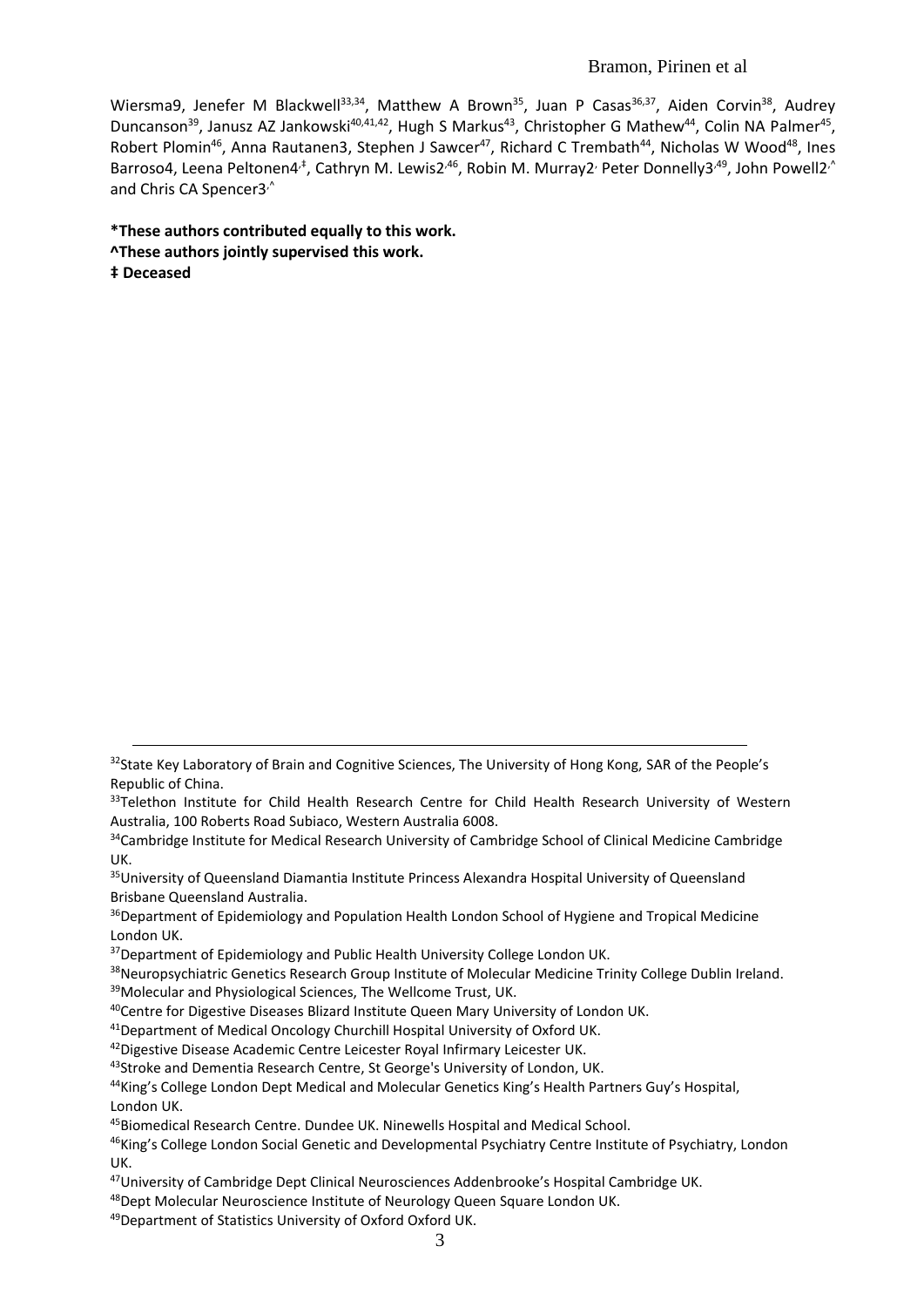## <span id="page-2-0"></span>Bramon, Pirinen et al

Wiersm[a9,](#page-1-13) Jenefer M Blackwell<sup>33,34</sup>, Matthew A Brown<sup>35</sup>, Juan P Casas<sup>36,37</sup>, Aiden Corvin<sup>38</sup>, Audrey Duncanson<sup>39</sup>, Janusz AZ Jankowski<sup>40,41,42</sup>, Hugh S Markus<sup>43</sup>, Christopher G Mathew<sup>44</sup>, Colin NA Palmer<sup>45</sup>, Robert Plomin<sup>46</sup>, Anna Rautane[n3,](#page-1-0) Stephen J Sawcer<sup>47</sup>, Richard C Trembath<sup>[44](#page-2-0)</sup>, Nicholas W Wood<sup>48</sup>, Ines Barros[o4,](#page-1-2) Leena Peltone[n4](#page-1-2)<sup>,‡</sup>, Cathryn M. Lewi[s2](#page-1-1)<sup>,46</sup>, Robin M. Murra[y2](#page-1-1)<sup>,</sup> Peter Donnell[y3](#page-1-0)<sup>,49</sup>, John Powe[ll2](#page-1-1)<sup>,^</sup> and Chris CA Spence[r3](#page-1-0)<sup>,</sup>

**\*These authors contributed equally to this work. ^These authors jointly supervised this work.**

**‡ Deceased**

<sup>&</sup>lt;sup>32</sup>State Key Laboratory of Brain and Cognitive Sciences, The University of Hong Kong, SAR of the People's Republic of China.

<sup>&</sup>lt;sup>33</sup>Telethon Institute for Child Health Research Centre for Child Health Research University of Western Australia, 100 Roberts Road Subiaco, Western Australia 6008.

<sup>&</sup>lt;sup>34</sup>Cambridge Institute for Medical Research University of Cambridge School of Clinical Medicine Cambridge UK.

<sup>&</sup>lt;sup>35</sup>University of Queensland Diamantia Institute Princess Alexandra Hospital University of Queensland Brisbane Queensland Australia.

<sup>&</sup>lt;sup>36</sup>Department of Epidemiology and Population Health London School of Hygiene and Tropical Medicine London UK.

<sup>&</sup>lt;sup>37</sup>Department of Epidemiology and Public Health University College London UK.

<sup>&</sup>lt;sup>38</sup>Neuropsychiatric Genetics Research Group Institute of Molecular Medicine Trinity College Dublin Ireland.

<sup>&</sup>lt;sup>39</sup>Molecular and Physiological Sciences, The Wellcome Trust, UK.

<sup>&</sup>lt;sup>40</sup>Centre for Digestive Diseases Blizard Institute Queen Mary University of London UK.

<sup>&</sup>lt;sup>41</sup>Department of Medical Oncology Churchill Hospital University of Oxford UK.

<sup>&</sup>lt;sup>42</sup>Digestive Disease Academic Centre Leicester Royal Infirmary Leicester UK.

<sup>&</sup>lt;sup>43</sup>Stroke and Dementia Research Centre, St George's University of London, UK.

<sup>44</sup>King's College London Dept Medical and Molecular Genetics King's Health Partners Guy's Hospital, London UK.

<sup>45</sup>Biomedical Research Centre. Dundee UK. Ninewells Hospital and Medical School.

<sup>46</sup>King's College London Social Genetic and Developmental Psychiatry Centre Institute of Psychiatry, London UK.

<sup>&</sup>lt;sup>47</sup>University of Cambridge Dept Clinical Neurosciences Addenbrooke's Hospital Cambridge UK.

<sup>48</sup>Dept Molecular Neuroscience Institute of Neurology Queen Square London UK.

<sup>49</sup>Department of Statistics University of Oxford Oxford UK.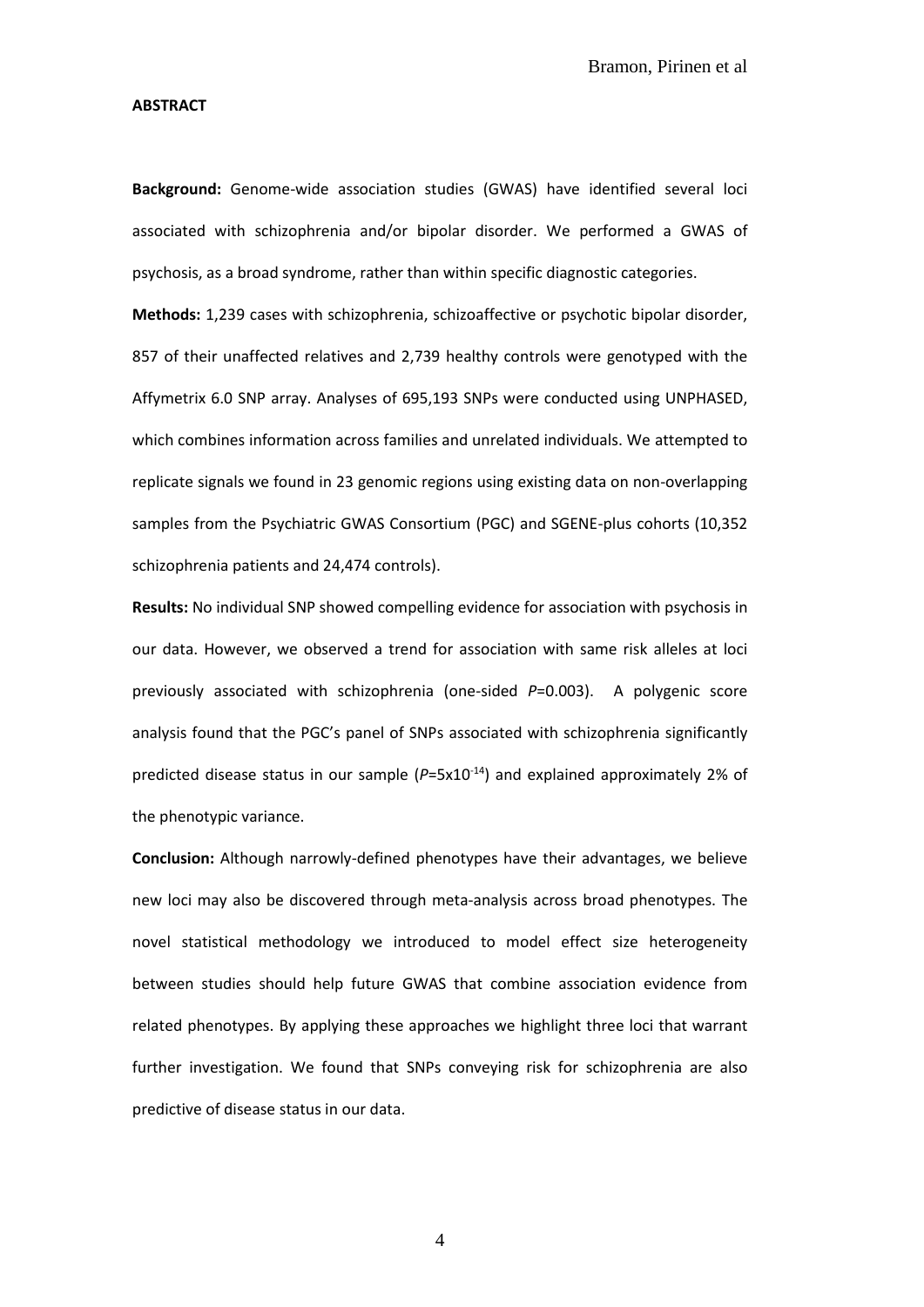#### **ABSTRACT**

**Background:** Genome-wide association studies (GWAS) have identified several loci associated with schizophrenia and/or bipolar disorder. We performed a GWAS of psychosis, as a broad syndrome, rather than within specific diagnostic categories.

**Methods:** 1,239 cases with schizophrenia, schizoaffective or psychotic bipolar disorder, 857 of their unaffected relatives and 2,739 healthy controls were genotyped with the Affymetrix 6.0 SNP array. Analyses of 695,193 SNPs were conducted using UNPHASED, which combines information across families and unrelated individuals. We attempted to replicate signals we found in 23 genomic regions using existing data on non-overlapping samples from the Psychiatric GWAS Consortium (PGC) and SGENE-plus cohorts (10,352 schizophrenia patients and 24,474 controls).

**Results:** No individual SNP showed compelling evidence for association with psychosis in our data. However, we observed a trend for association with same risk alleles at loci previously associated with schizophrenia (one-sided *P*=0.003). A polygenic score analysis found that the PGC's panel of SNPs associated with schizophrenia significantly predicted disease status in our sample (P=5x10<sup>-14</sup>) and explained approximately 2% of the phenotypic variance.

**Conclusion:** Although narrowly-defined phenotypes have their advantages, we believe new loci may also be discovered through meta-analysis across broad phenotypes. The novel statistical methodology we introduced to model effect size heterogeneity between studies should help future GWAS that combine association evidence from related phenotypes. By applying these approaches we highlight three loci that warrant further investigation. We found that SNPs conveying risk for schizophrenia are also predictive of disease status in our data.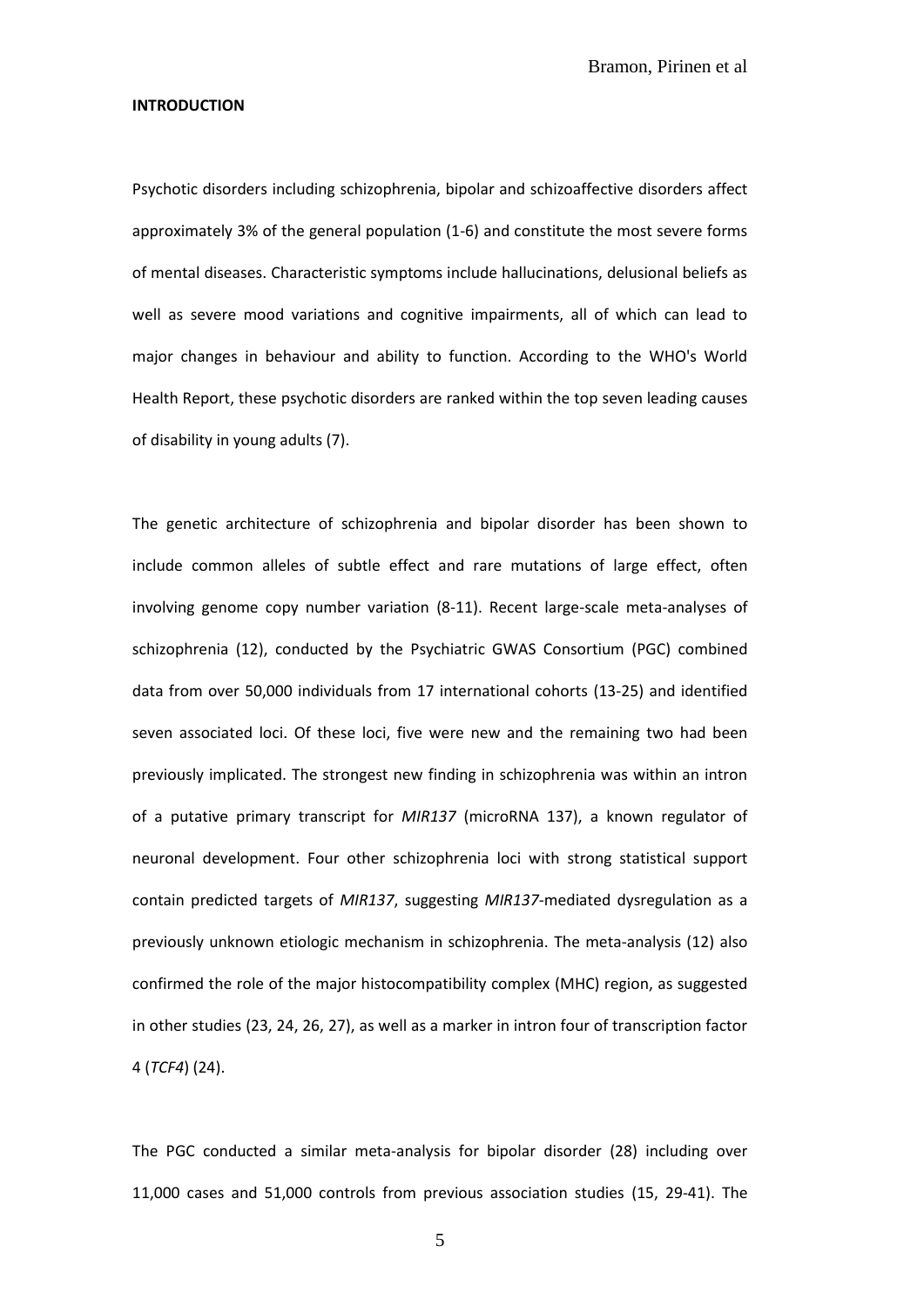#### **INTRODUCTION**

Psychotic disorders including schizophrenia, bipolar and schizoaffective disorders affect approximately 3% of the general population [\(1-6\)](#page-25-0) and constitute the most severe forms of mental diseases. Characteristic symptoms include hallucinations, delusional beliefs as well as severe mood variations and cognitive impairments, all of which can lead to major changes in behaviour and ability to function. According to the WHO's World Health Report, these psychotic disorders are ranked within the top seven leading causes of disability in young adults [\(7\)](#page-25-1).

The genetic architecture of schizophrenia and bipolar disorder has been shown to include common alleles of subtle effect and rare mutations of large effect, often involving genome copy number variation [\(8-11\)](#page-25-2). Recent large-scale meta-analyses of schizophrenia [\(12\)](#page-25-3), conducted by the Psychiatric GWAS Consortium (PGC) combined data from over 50,000 individuals from 17 international cohorts [\(13-25\)](#page-25-4) and identified seven associated loci. Of these loci, five were new and the remaining two had been previously implicated. The strongest new finding in schizophrenia was within an intron of a putative primary transcript for *MIR137* (microRNA 137), a known regulator of neuronal development. Four other schizophrenia loci with strong statistical support contain predicted targets of *MIR137*, suggesting *MIR137*-mediated dysregulation as a previously unknown etiologic mechanism in schizophrenia. The meta-analysis [\(12\)](#page-25-3) also confirmed the role of the major histocompatibility complex (MHC) region, as suggested in other studies [\(23,](#page-26-0) [24,](#page-26-1) [26,](#page-26-2) [27\)](#page-26-3), as well as a marker in intron four of transcription factor 4 (*TCF4*) [\(24\)](#page-26-1).

The PGC conducted a similar meta-analysis for bipolar disorder [\(28\)](#page-26-4) including over 11,000 cases and 51,000 controls from previous association studies [\(15,](#page-26-5) [29-41\)](#page-26-6). The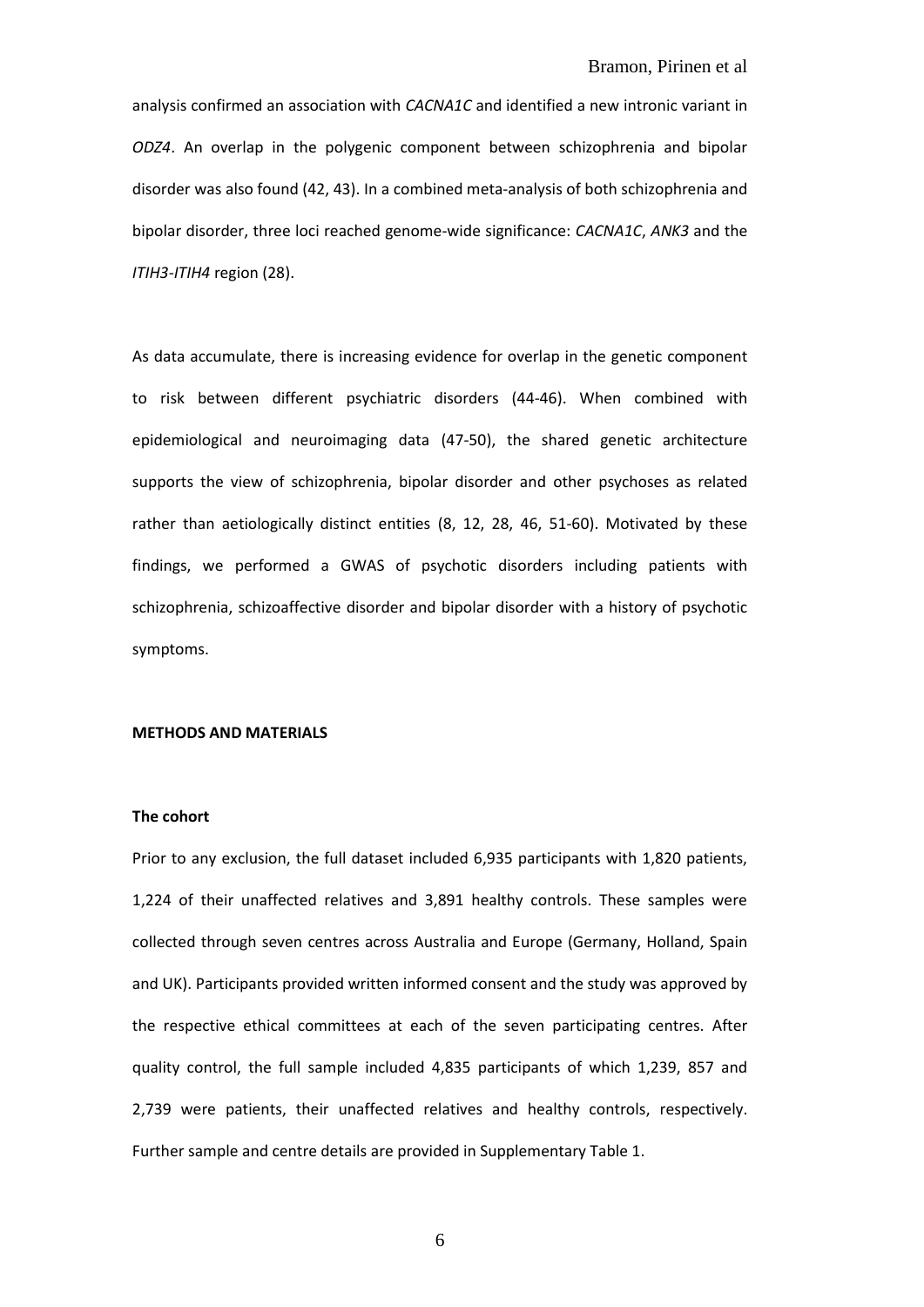analysis confirmed an association with *CACNA1C* and identified a new intronic variant in *ODZ4*. An overlap in the polygenic component between schizophrenia and bipolar disorder was also found [\(42,](#page-27-0) [43\)](#page-27-1). In a combined meta-analysis of both schizophrenia and bipolar disorder, three loci reached genome-wide significance: *CACNA1C*, *ANK3* and the *ITIH3-ITIH4* region [\(28\)](#page-26-4).

As data accumulate, there is increasing evidence for overlap in the genetic component to risk between different psychiatric disorders [\(44-46\)](#page-27-2). When combined with epidemiological and neuroimaging data [\(47-50\)](#page-27-3), the shared genetic architecture supports the view of schizophrenia, bipolar disorder and other psychoses as related rather than aetiologically distinct entities [\(8,](#page-25-2) [12,](#page-25-3) [28,](#page-26-4) [46,](#page-27-4) [51-60\)](#page-28-0). Motivated by these findings, we performed a GWAS of psychotic disorders including patients with schizophrenia, schizoaffective disorder and bipolar disorder with a history of psychotic symptoms.

## **METHODS AND MATERIALS**

#### **The cohort**

Prior to any exclusion, the full dataset included 6,935 participants with 1,820 patients, 1,224 of their unaffected relatives and 3,891 healthy controls. These samples were collected through seven centres across Australia and Europe (Germany, Holland, Spain and UK). Participants provided written informed consent and the study was approved by the respective ethical committees at each of the seven participating centres. After quality control, the full sample included 4,835 participants of which 1,239, 857 and 2,739 were patients, their unaffected relatives and healthy controls, respectively. Further sample and centre details are provided in Supplementary Table 1.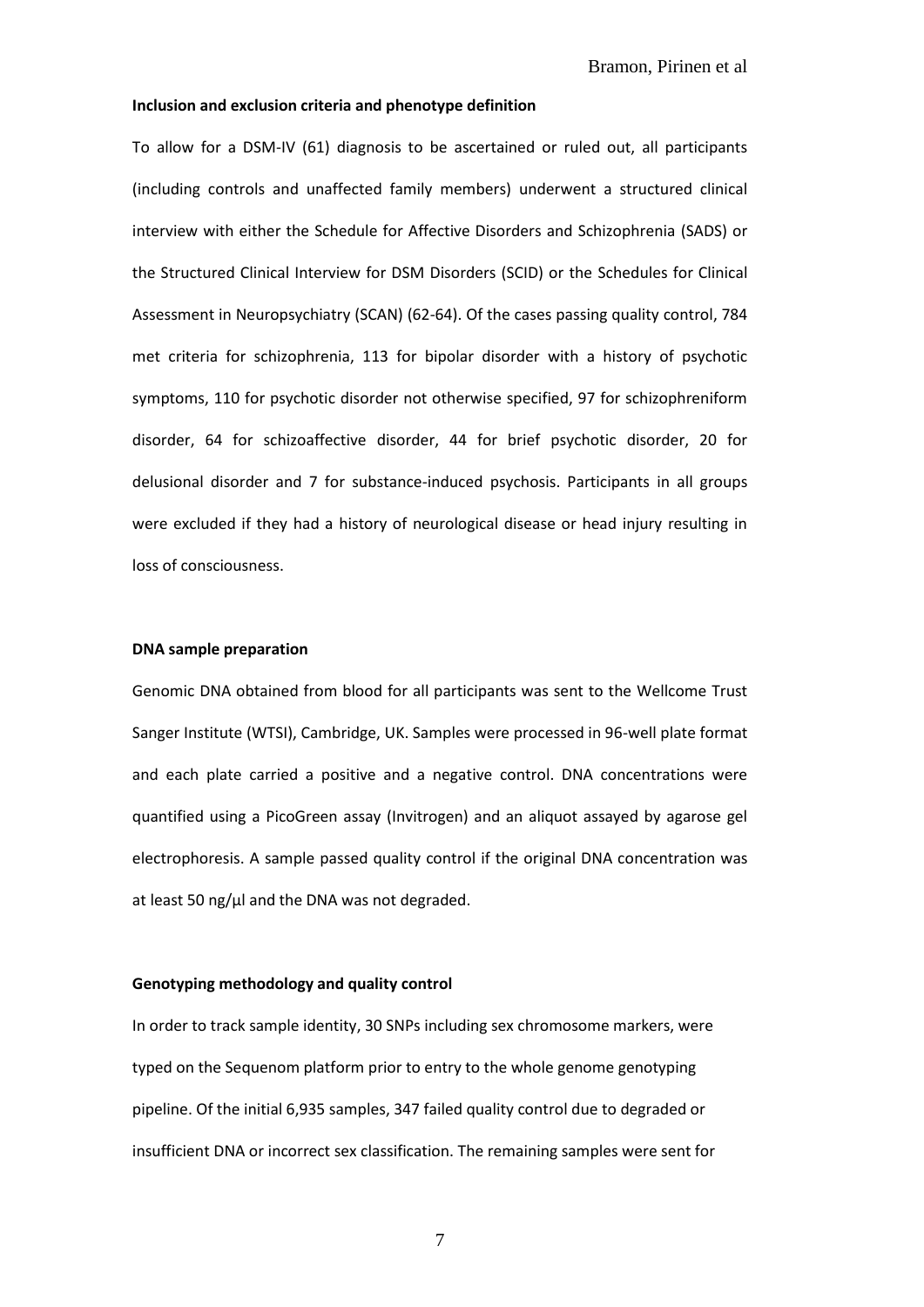## **Inclusion and exclusion criteria and phenotype definition**

To allow for a DSM-IV [\(61\)](#page-28-1) diagnosis to be ascertained or ruled out, all participants (including controls and unaffected family members) underwent a structured clinical interview with either the Schedule for Affective Disorders and Schizophrenia (SADS) or the Structured Clinical Interview for DSM Disorders (SCID) or the Schedules for Clinical Assessment in Neuropsychiatry (SCAN) [\(62-64\)](#page-28-2). Of the cases passing quality control, 784 met criteria for schizophrenia, 113 for bipolar disorder with a history of psychotic symptoms, 110 for psychotic disorder not otherwise specified, 97 for schizophreniform disorder, 64 for schizoaffective disorder, 44 for brief psychotic disorder, 20 for delusional disorder and 7 for substance-induced psychosis. Participants in all groups were excluded if they had a history of neurological disease or head injury resulting in loss of consciousness.

#### **DNA sample preparation**

Genomic DNA obtained from blood for all participants was sent to the Wellcome Trust Sanger Institute (WTSI), Cambridge, UK. Samples were processed in 96-well plate format and each plate carried a positive and a negative control. DNA concentrations were quantified using a PicoGreen assay (Invitrogen) and an aliquot assayed by agarose gel electrophoresis. A sample passed quality control if the original DNA concentration was at least 50 ng/µl and the DNA was not degraded.

#### **Genotyping methodology and quality control**

In order to track sample identity, 30 SNPs including sex chromosome markers, were typed on the Sequenom platform prior to entry to the whole genome genotyping pipeline. Of the initial 6,935 samples, 347 failed quality control due to degraded or insufficient DNA or incorrect sex classification. The remaining samples were sent for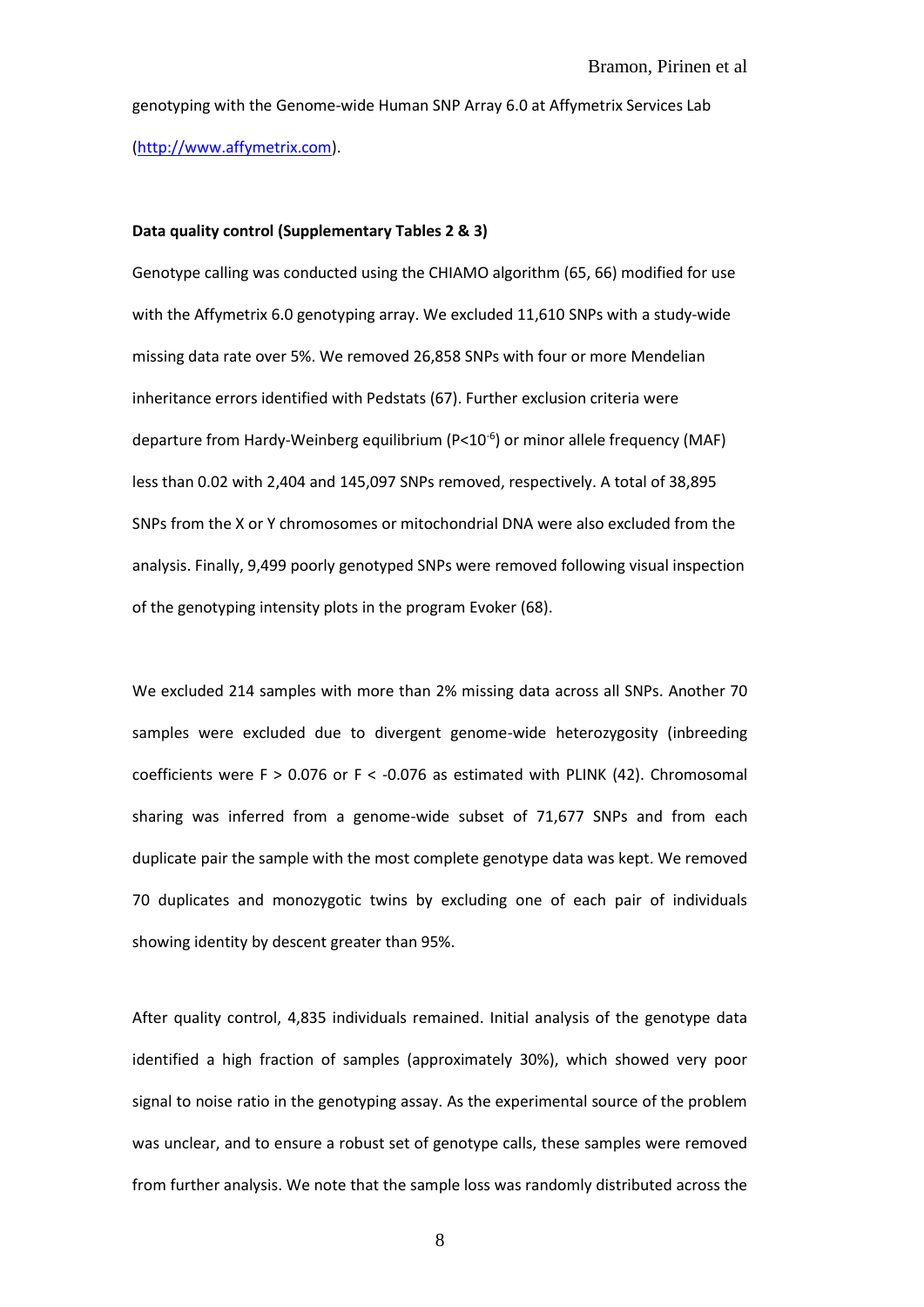genotyping with the Genome-wide Human SNP Array 6.0 at Affymetrix Services Lab [\(http://www.affymetrix.com\)](http://www.affymetrix.com/).

#### **Data quality control (Supplementary Tables 2 & 3)**

Genotype calling was conducted using the CHIAMO algorithm [\(65,](#page-28-3) [66\)](#page-28-4) modified for use with the Affymetrix 6.0 genotyping array. We excluded 11,610 SNPs with a study-wide missing data rate over 5%. We removed 26,858 SNPs with four or more Mendelian inheritance errors identified with Pedstats [\(67\)](#page-29-0). Further exclusion criteria were departure from Hardy-Weinberg equilibrium (P<10<sup>-6</sup>) or minor allele frequency (MAF) less than 0.02 with 2,404 and 145,097 SNPs removed, respectively. A total of 38,895 SNPs from the X or Y chromosomes or mitochondrial DNA were also excluded from the analysis. Finally, 9,499 poorly genotyped SNPs were removed following visual inspection of the genotyping intensity plots in the program Evoker [\(68\)](#page-29-1).

We excluded 214 samples with more than 2% missing data across all SNPs. Another 70 samples were excluded due to divergent genome-wide heterozygosity (inbreeding coefficients were F > 0.076 or F < -0.076 as estimated with PLINK [\(42\)](#page-27-0). Chromosomal sharing was inferred from a genome-wide subset of 71,677 SNPs and from each duplicate pair the sample with the most complete genotype data was kept. We removed 70 duplicates and monozygotic twins by excluding one of each pair of individuals showing identity by descent greater than 95%.

After quality control, 4,835 individuals remained. Initial analysis of the genotype data identified a high fraction of samples (approximately 30%), which showed very poor signal to noise ratio in the genotyping assay. As the experimental source of the problem was unclear, and to ensure a robust set of genotype calls, these samples were removed from further analysis. We note that the sample loss was randomly distributed across the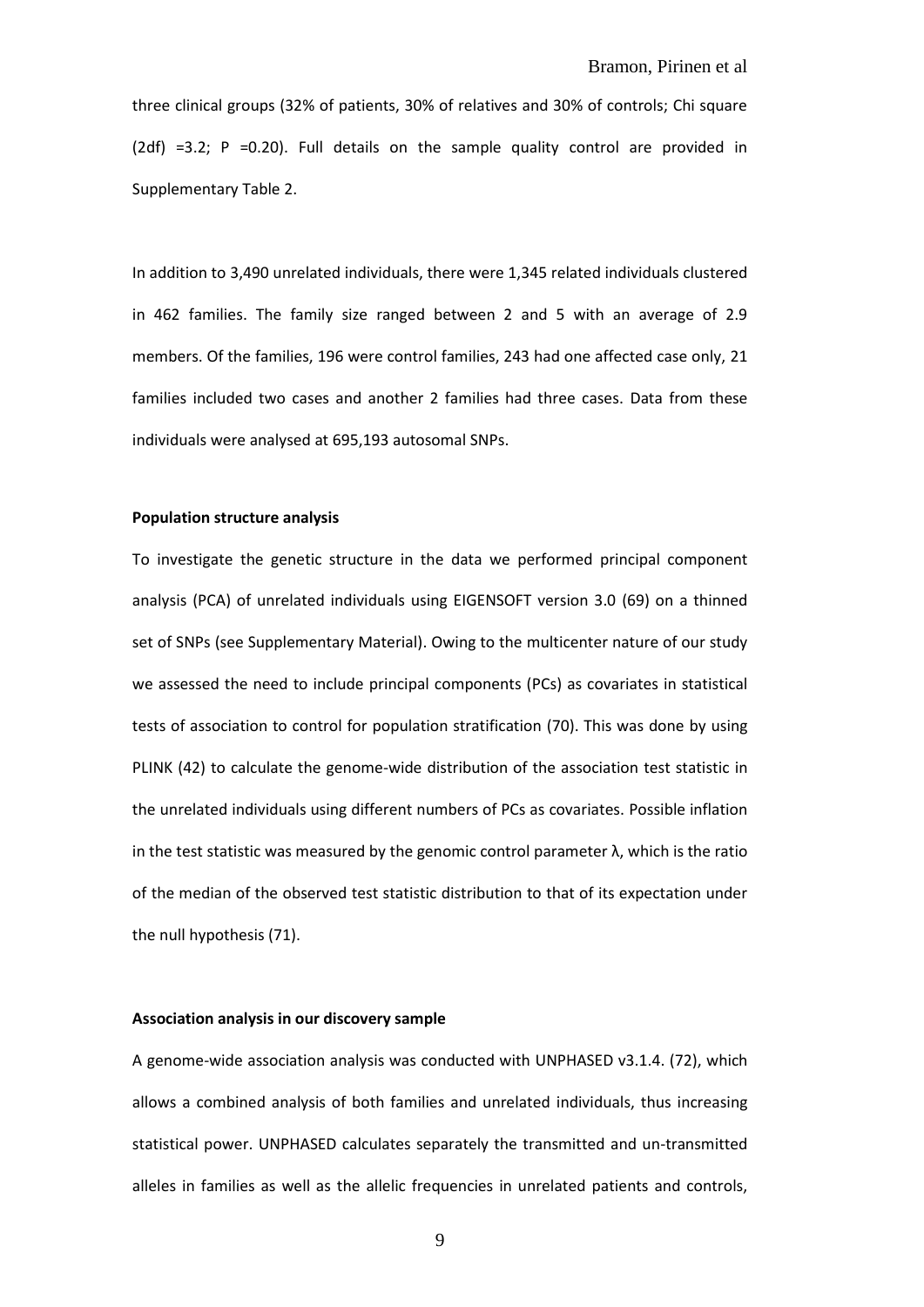three clinical groups (32% of patients, 30% of relatives and 30% of controls; Chi square  $(2df) = 3.2$ ; P = 0.20). Full details on the sample quality control are provided in Supplementary Table 2.

In addition to 3,490 unrelated individuals, there were 1,345 related individuals clustered in 462 families. The family size ranged between 2 and 5 with an average of 2.9 members. Of the families, 196 were control families, 243 had one affected case only, 21 families included two cases and another 2 families had three cases. Data from these individuals were analysed at 695,193 autosomal SNPs.

#### **Population structure analysis**

To investigate the genetic structure in the data we performed principal component analysis (PCA) of unrelated individuals using EIGENSOFT version 3.0 [\(69\)](#page-29-2) on a thinned set of SNPs (see Supplementary Material). Owing to the multicenter nature of our study we assessed the need to include principal components (PCs) as covariates in statistical tests of association to control for population stratification [\(70\)](#page-29-3). This was done by using PLINK [\(42\)](#page-27-0) to calculate the genome-wide distribution of the association test statistic in the unrelated individuals using different numbers of PCs as covariates. Possible inflation in the test statistic was measured by the genomic control parameter  $\lambda$ , which is the ratio of the median of the observed test statistic distribution to that of its expectation under the null hypothesis [\(71\)](#page-29-4).

#### **Association analysis in our discovery sample**

A genome-wide association analysis was conducted with UNPHASED v3.1.4. [\(72\)](#page-29-5), which allows a combined analysis of both families and unrelated individuals, thus increasing statistical power. UNPHASED calculates separately the transmitted and un-transmitted alleles in families as well as the allelic frequencies in unrelated patients and controls,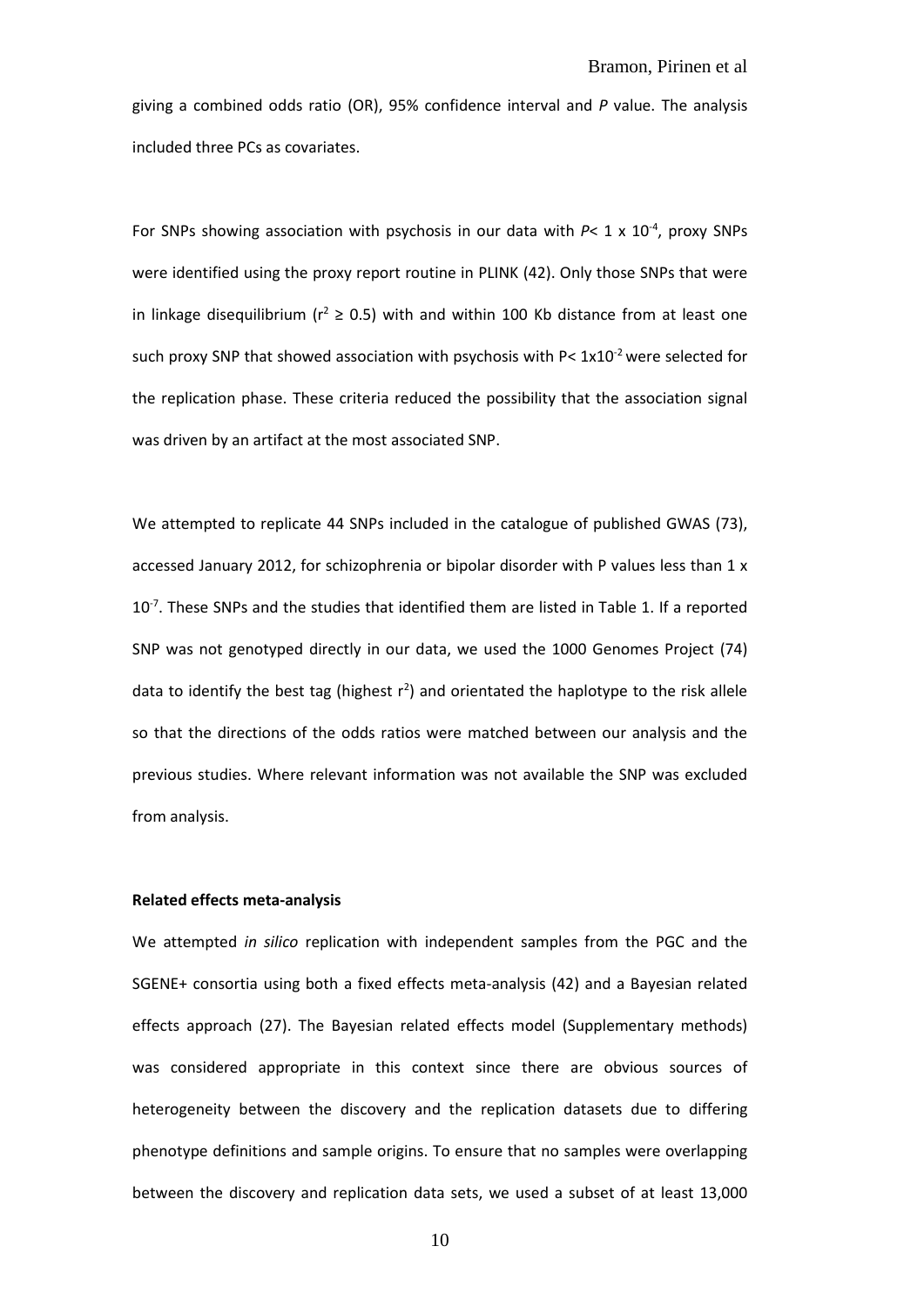giving a combined odds ratio (OR), 95% confidence interval and *P* value. The analysis included three PCs as covariates.

For SNPs showing association with psychosis in our data with  $P$ < 1 x 10<sup>-4</sup>, proxy SNPs were identified using the proxy report routine in PLINK [\(42\)](#page-27-0). Only those SNPs that were in linkage disequilibrium ( $r^2 \ge 0.5$ ) with and within 100 Kb distance from at least one such proxy SNP that showed association with psychosis with P<  $1x10<sup>-2</sup>$  were selected for the replication phase. These criteria reduced the possibility that the association signal was driven by an artifact at the most associated SNP.

We attempted to replicate 44 SNPs included in the catalogue of published GWAS [\(73\)](#page-29-6), accessed January 2012, for schizophrenia or bipolar disorder with P values less than 1 x 10<sup>-7</sup>. These SNPs and the studies that identified them are listed in Table 1. If a reported SNP was not genotyped directly in our data, we used the 1000 Genomes Project [\(74\)](#page-29-7) data to identify the best tag (highest  $r^2$ ) and orientated the haplotype to the risk allele so that the directions of the odds ratios were matched between our analysis and the previous studies. Where relevant information was not available the SNP was excluded from analysis.

#### **Related effects meta-analysis**

We attempted *in silico* replication with independent samples from the PGC and the SGENE+ consortia using both a fixed effects meta-analysis [\(42\)](#page-27-0) and a Bayesian related effects approach [\(27\)](#page-26-3). The Bayesian related effects model (Supplementary methods) was considered appropriate in this context since there are obvious sources of heterogeneity between the discovery and the replication datasets due to differing phenotype definitions and sample origins. To ensure that no samples were overlapping between the discovery and replication data sets, we used a subset of at least 13,000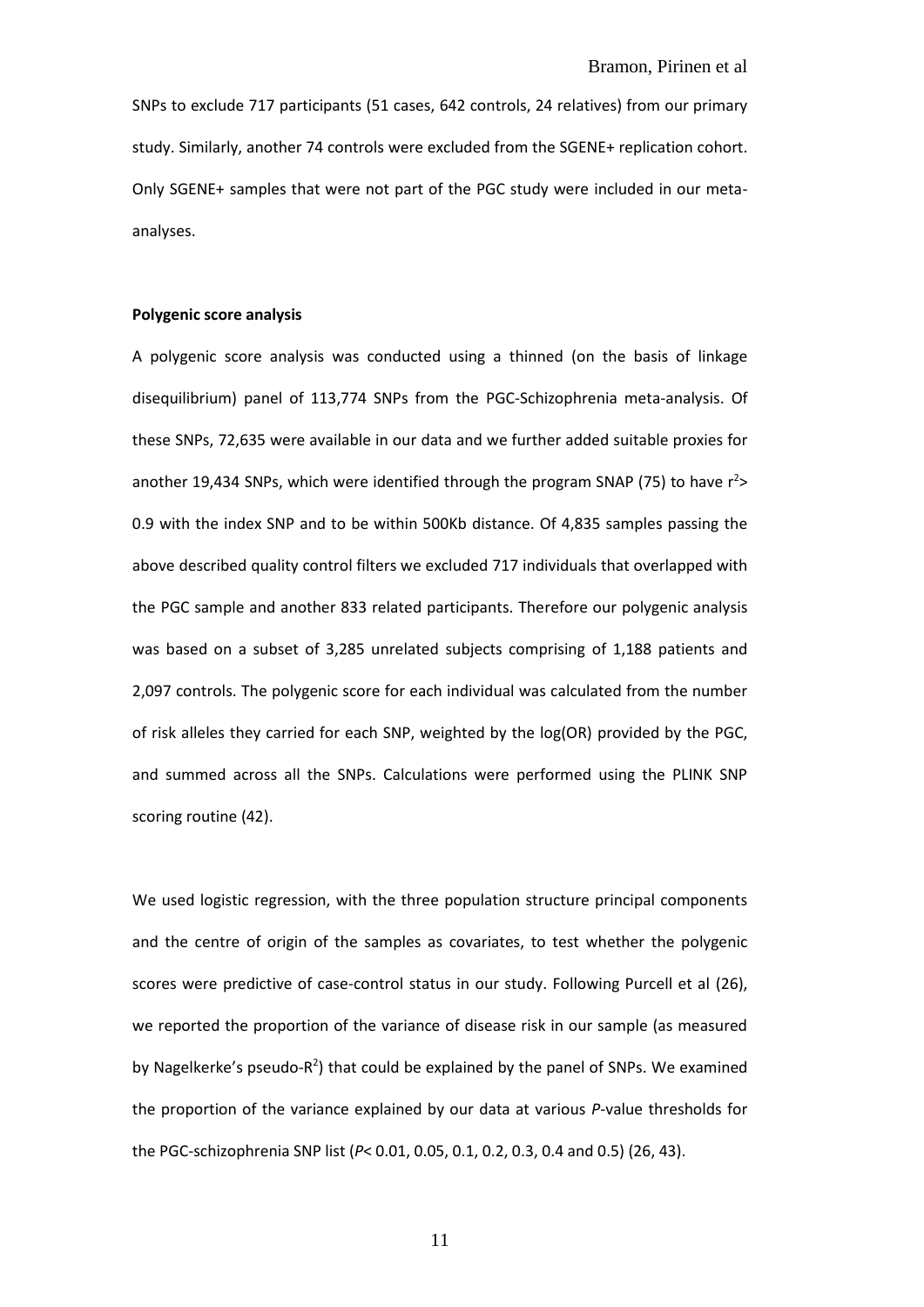SNPs to exclude 717 participants (51 cases, 642 controls, 24 relatives) from our primary study. Similarly, another 74 controls were excluded from the SGENE+ replication cohort. Only SGENE+ samples that were not part of the PGC study were included in our metaanalyses.

#### **Polygenic score analysis**

A polygenic score analysis was conducted using a thinned (on the basis of linkage disequilibrium) panel of 113,774 SNPs from the PGC-Schizophrenia meta-analysis. Of these SNPs, 72,635 were available in our data and we further added suitable proxies for another 19,434 SNPs, which were identified through the program SNAP [\(75\)](#page-29-8) to have  $r^2$ 0.9 with the index SNP and to be within 500Kb distance. Of 4,835 samples passing the above described quality control filters we excluded 717 individuals that overlapped with the PGC sample and another 833 related participants. Therefore our polygenic analysis was based on a subset of 3,285 unrelated subjects comprising of 1,188 patients and 2,097 controls. The polygenic score for each individual was calculated from the number of risk alleles they carried for each SNP, weighted by the log(OR) provided by the PGC, and summed across all the SNPs. Calculations were performed using the PLINK SNP scoring routine [\(42\)](#page-27-0).

We used logistic regression, with the three population structure principal components and the centre of origin of the samples as covariates, to test whether the polygenic scores were predictive of case-control status in our study. Following Purcell et al [\(26\)](#page-26-2), we reported the proportion of the variance of disease risk in our sample (as measured by Nagelkerke's pseudo- $R^2$ ) that could be explained by the panel of SNPs. We examined the proportion of the variance explained by our data at various *P*-value thresholds for the PGC-schizophrenia SNP list (*P*< 0.01, 0.05, 0.1, 0.2, 0.3, 0.4 and 0.5) [\(26,](#page-26-2) [43\)](#page-27-1).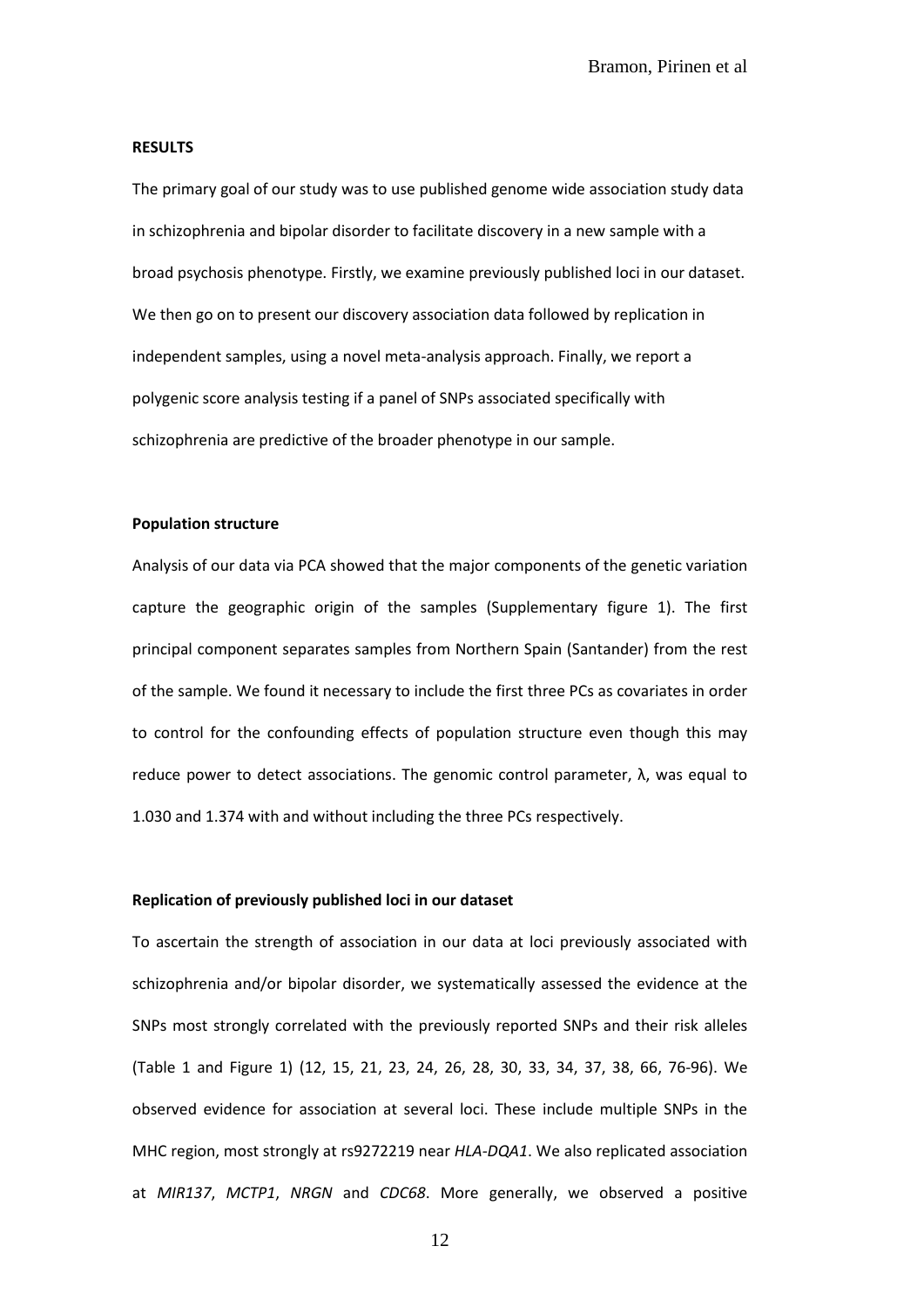#### **RESULTS**

The primary goal of our study was to use published genome wide association study data in schizophrenia and bipolar disorder to facilitate discovery in a new sample with a broad psychosis phenotype. Firstly, we examine previously published loci in our dataset. We then go on to present our discovery association data followed by replication in independent samples, using a novel meta-analysis approach. Finally, we report a polygenic score analysis testing if a panel of SNPs associated specifically with schizophrenia are predictive of the broader phenotype in our sample.

#### **Population structure**

Analysis of our data via PCA showed that the major components of the genetic variation capture the geographic origin of the samples (Supplementary figure 1). The first principal component separates samples from Northern Spain (Santander) from the rest of the sample. We found it necessary to include the first three PCs as covariates in order to control for the confounding effects of population structure even though this may reduce power to detect associations. The genomic control parameter,  $\lambda$ , was equal to 1.030 and 1.374 with and without including the three PCs respectively.

#### **Replication of previously published loci in our dataset**

To ascertain the strength of association in our data at loci previously associated with schizophrenia and/or bipolar disorder, we systematically assessed the evidence at the SNPs most strongly correlated with the previously reported SNPs and their risk alleles (Table 1 and Figure 1) [\(12,](#page-25-3) [15,](#page-26-5) [21,](#page-26-7) [23,](#page-26-0) [24,](#page-26-1) [26,](#page-26-2) [28,](#page-26-4) [30,](#page-26-8) [33,](#page-27-5) [34,](#page-27-6) [37,](#page-27-7) [38,](#page-27-8) [66,](#page-28-4) [76-96\)](#page-29-9). We observed evidence for association at several loci. These include multiple SNPs in the MHC region, most strongly at rs9272219 near *HLA-DQA1*. We also replicated association at *MIR137*, *MCTP1*, *NRGN* and *CDC68*. More generally, we observed a positive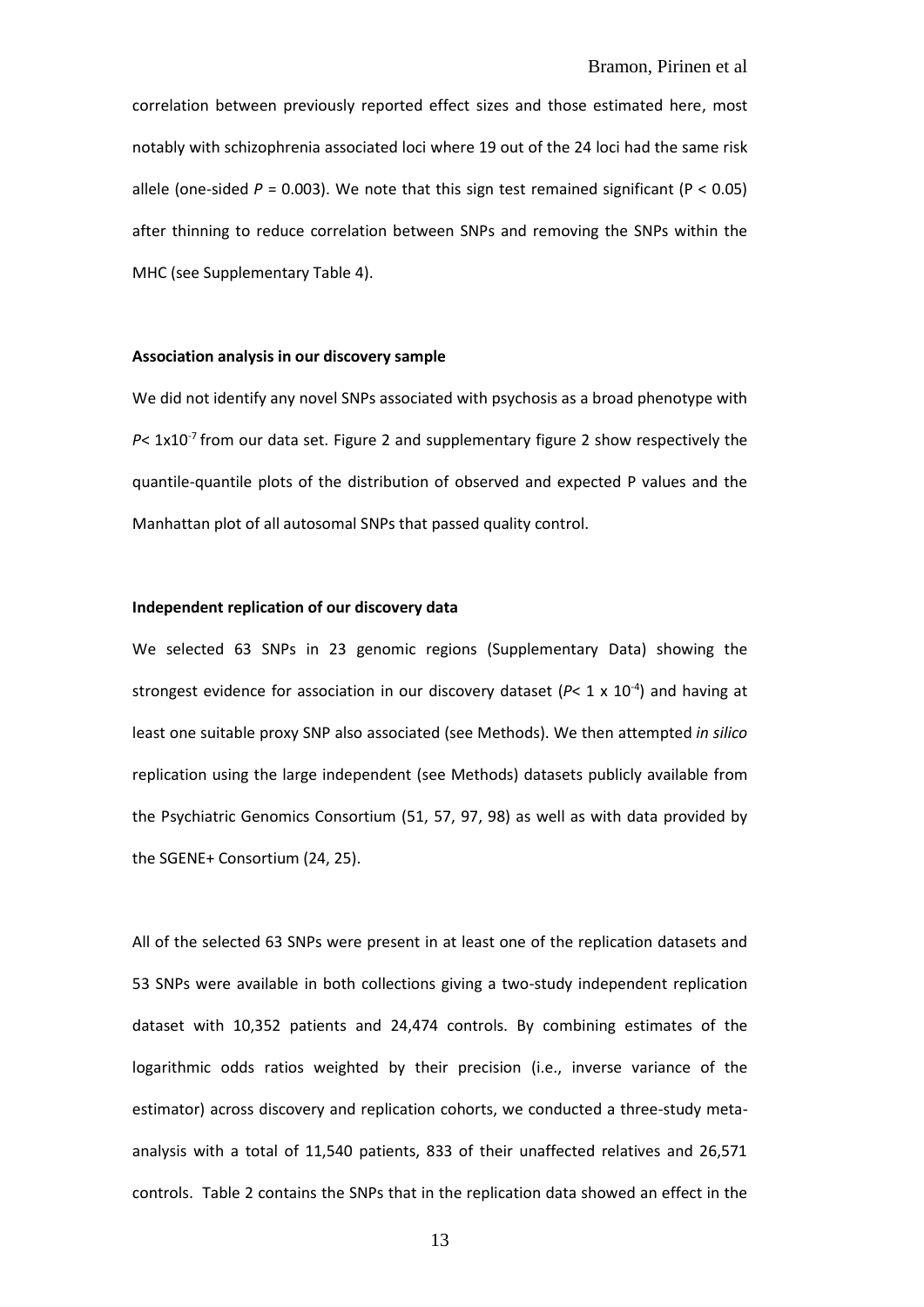correlation between previously reported effect sizes and those estimated here, most notably with schizophrenia associated loci where 19 out of the 24 loci had the same risk allele (one-sided  $P = 0.003$ ). We note that this sign test remained significant ( $P < 0.05$ ) after thinning to reduce correlation between SNPs and removing the SNPs within the MHC (see Supplementary Table 4).

#### **Association analysis in our discovery sample**

We did not identify any novel SNPs associated with psychosis as a broad phenotype with  $P$ < 1x10<sup>-7</sup> from our data set. Figure 2 and supplementary figure 2 show respectively the quantile-quantile plots of the distribution of observed and expected P values and the Manhattan plot of all autosomal SNPs that passed quality control.

#### **Independent replication of our discovery data**

We selected 63 SNPs in 23 genomic regions (Supplementary Data) showing the strongest evidence for association in our discovery dataset (P< 1 x 10<sup>-4</sup>) and having at least one suitable proxy SNP also associated (see Methods). We then attempted *in silico* replication using the large independent (see Methods) datasets publicly available from the Psychiatric Genomics Consortium [\(51,](#page-28-0) [57,](#page-28-5) [97,](#page-30-0) [98\)](#page-30-1) as well as with data provided by the SGENE+ Consortium [\(24,](#page-26-1) [25\)](#page-26-9).

All of the selected 63 SNPs were present in at least one of the replication datasets and 53 SNPs were available in both collections giving a two-study independent replication dataset with 10,352 patients and 24,474 controls. By combining estimates of the logarithmic odds ratios weighted by their precision (i.e., inverse variance of the estimator) across discovery and replication cohorts, we conducted a three-study metaanalysis with a total of 11,540 patients, 833 of their unaffected relatives and 26,571 controls. Table 2 contains the SNPs that in the replication data showed an effect in the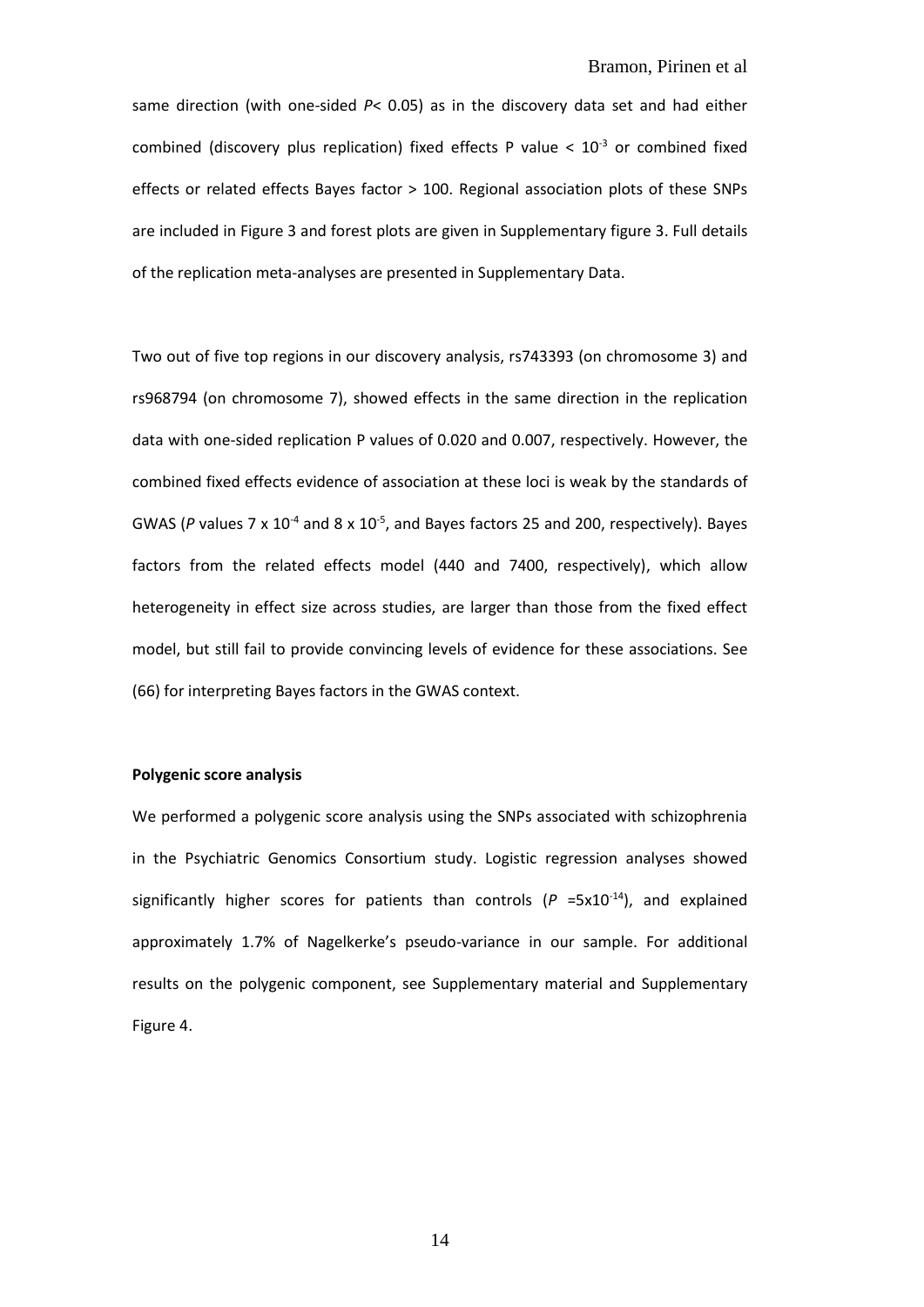same direction (with one-sided *P*< 0.05) as in the discovery data set and had either combined (discovery plus replication) fixed effects P value  $< 10^{-3}$  or combined fixed effects or related effects Bayes factor > 100. Regional association plots of these SNPs are included in Figure 3 and forest plots are given in Supplementary figure 3. Full details of the replication meta-analyses are presented in Supplementary Data.

Two out of five top regions in our discovery analysis, rs743393 (on chromosome 3) and rs968794 (on chromosome 7), showed effects in the same direction in the replication data with one-sided replication P values of 0.020 and 0.007, respectively. However, the combined fixed effects evidence of association at these loci is weak by the standards of GWAS ( $P$  values 7 x 10<sup>-4</sup> and 8 x 10<sup>-5</sup>, and Bayes factors 25 and 200, respectively). Bayes factors from the related effects model (440 and 7400, respectively), which allow heterogeneity in effect size across studies, are larger than those from the fixed effect model, but still fail to provide convincing levels of evidence for these associations. See [\(66\)](#page-28-4) for interpreting Bayes factors in the GWAS context.

#### **Polygenic score analysis**

We performed a polygenic score analysis using the SNPs associated with schizophrenia in the Psychiatric Genomics Consortium study. Logistic regression analyses showed significantly higher scores for patients than controls  $(P = 5 \times 10^{-14})$ , and explained approximately 1.7% of Nagelkerke's pseudo-variance in our sample. For additional results on the polygenic component, see Supplementary material and Supplementary Figure 4.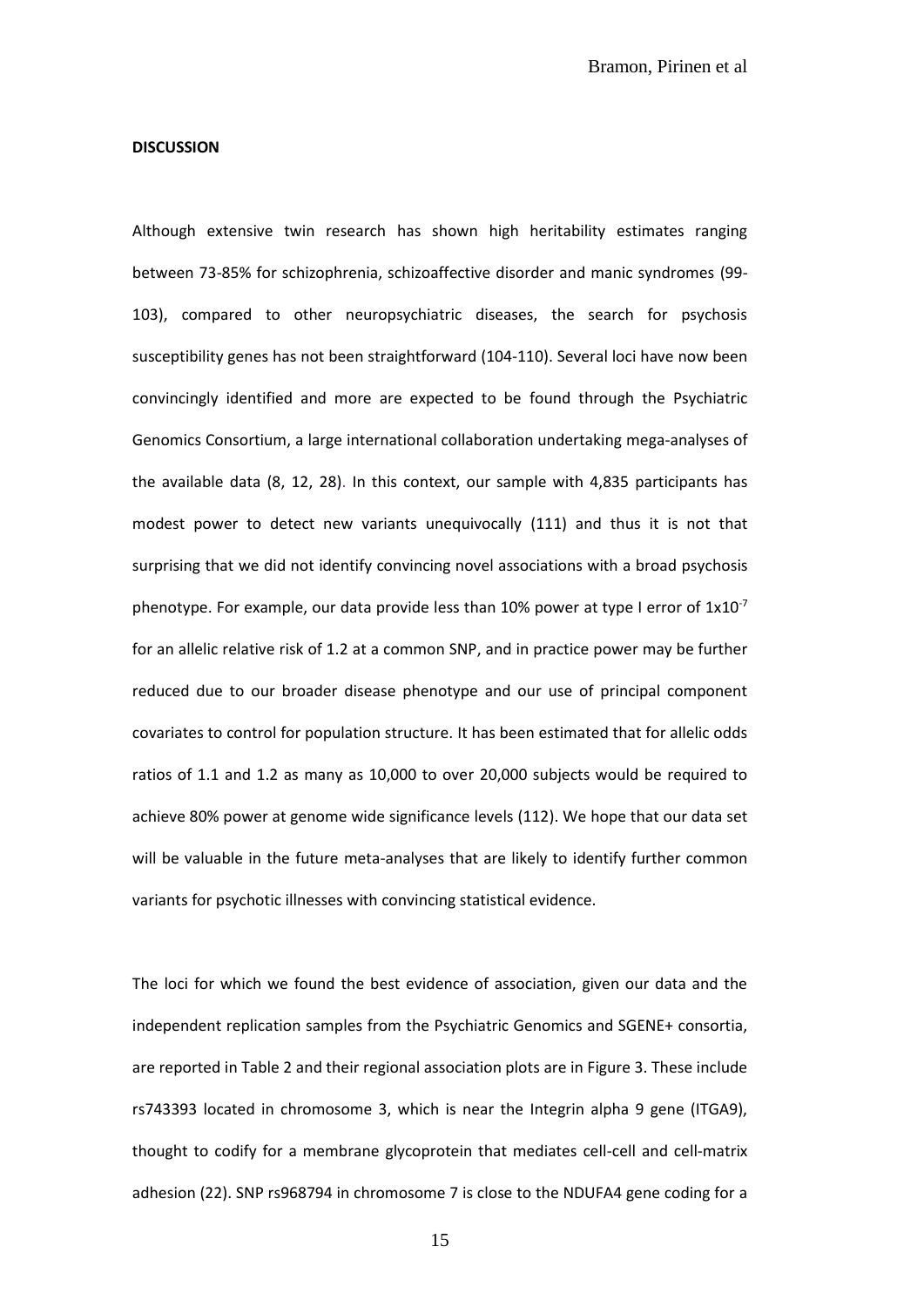#### **DISCUSSION**

Although extensive twin research has shown high heritability estimates ranging between 73-85% for schizophrenia, schizoaffective disorder and manic syndromes [\(99-](#page-30-2) [103\)](#page-30-2), compared to other neuropsychiatric diseases, the search for psychosis susceptibility genes has not been straightforward [\(104-110\)](#page-31-0). Several loci have now been convincingly identified and more are expected to be found through the Psychiatric Genomics Consortium, a large international collaboration undertaking mega-analyses of the available data [\(8,](#page-25-2) [12,](#page-25-3) [28\)](#page-26-4). In this context, our sample with 4,835 participants has modest power to detect new variants unequivocally [\(111\)](#page-31-1) and thus it is not that surprising that we did not identify convincing novel associations with a broad psychosis phenotype. For example, our data provide less than 10% power at type I error of  $1x10^{-7}$ for an allelic relative risk of 1.2 at a common SNP, and in practice power may be further reduced due to our broader disease phenotype and our use of principal component covariates to control for population structure. It has been estimated that for allelic odds ratios of 1.1 and 1.2 as many as 10,000 to over 20,000 subjects would be required to achieve 80% power at genome wide significance levels [\(112\)](#page-31-2). We hope that our data set will be valuable in the future meta-analyses that are likely to identify further common variants for psychotic illnesses with convincing statistical evidence.

The loci for which we found the best evidence of association, given our data and the independent replication samples from the Psychiatric Genomics and SGENE+ consortia, are reported in Table 2 and their regional association plots are in Figure 3. These include rs743393 located in chromosome 3, which is near the Integrin alpha 9 gene (ITGA9), thought to codify for a membrane glycoprotein that mediates cell-cell and cell-matrix adhesion (22). SNP rs968794 in chromosome 7 is close to the NDUFA4 gene coding for a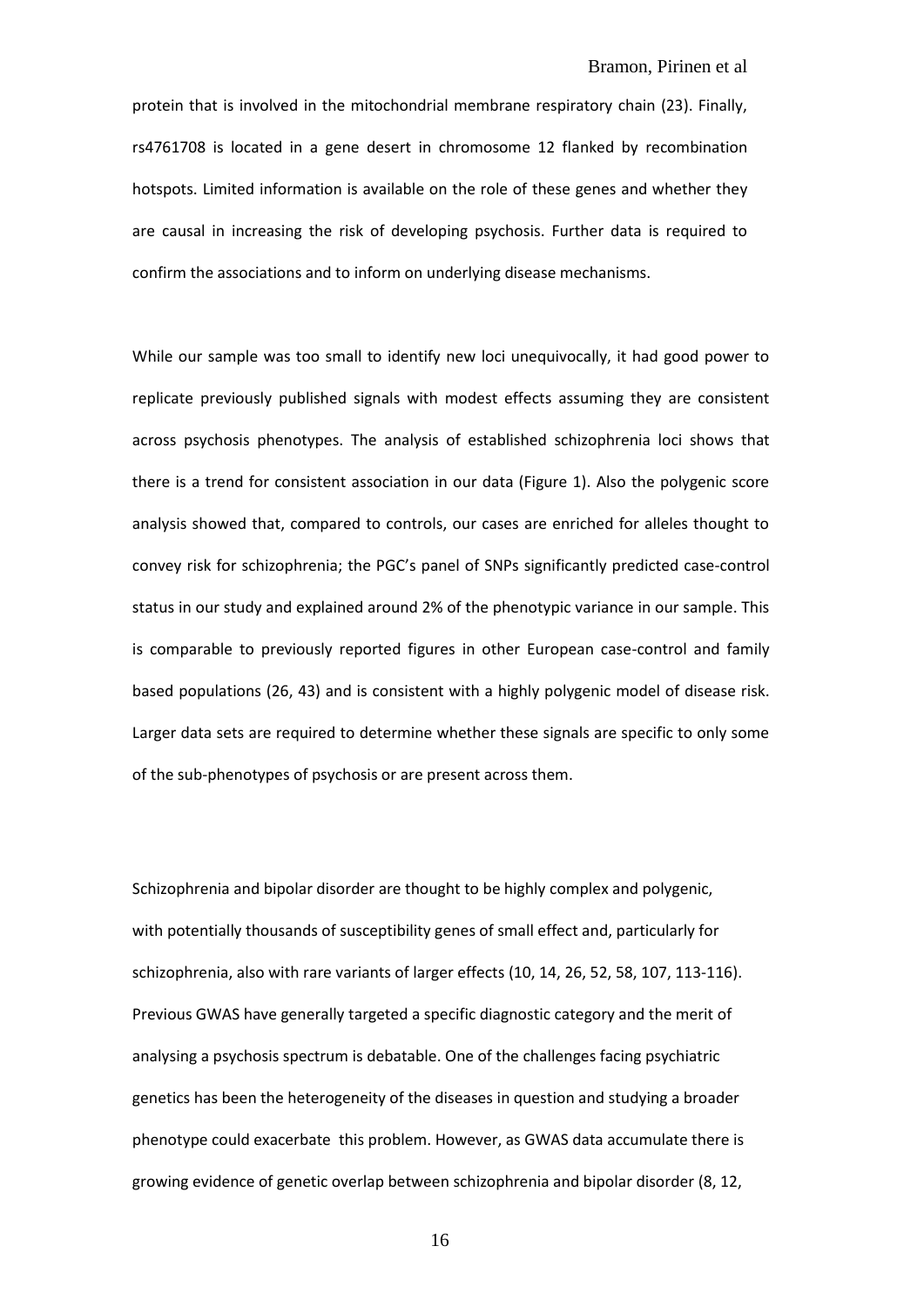protein that is involved in the mitochondrial membrane respiratory chain (23). Finally, rs4761708 is located in a gene desert in chromosome 12 flanked by recombination hotspots. Limited information is available on the role of these genes and whether they are causal in increasing the risk of developing psychosis. Further data is required to confirm the associations and to inform on underlying disease mechanisms.

While our sample was too small to identify new loci unequivocally, it had good power to replicate previously published signals with modest effects assuming they are consistent across psychosis phenotypes. The analysis of established schizophrenia loci shows that there is a trend for consistent association in our data (Figure 1). Also the polygenic score analysis showed that, compared to controls, our cases are enriched for alleles thought to convey risk for schizophrenia; the PGC's panel of SNPs significantly predicted case-control status in our study and explained around 2% of the phenotypic variance in our sample. This is comparable to previously reported figures in other European case-control and family based populations [\(26,](#page-26-2) [43\)](#page-27-1) and is consistent with a highly polygenic model of disease risk. Larger data sets are required to determine whether these signals are specific to only some of the sub-phenotypes of psychosis or are present across them.

Schizophrenia and bipolar disorder are thought to be highly complex and polygenic, with potentially thousands of susceptibility genes of small effect and, particularly for schizophrenia, also with rare variants of larger effects [\(10,](#page-25-5) [14,](#page-26-10) [26,](#page-26-2) [52,](#page-28-6) [58,](#page-28-7) [107,](#page-31-3) [113-116\)](#page-31-4). Previous GWAS have generally targeted a specific diagnostic category and the merit of analysing a psychosis spectrum is debatable. One of the challenges facing psychiatric genetics has been the heterogeneity of the diseases in question and studying a broader phenotype could exacerbate this problem. However, as GWAS data accumulate there is growing evidence of genetic overlap between schizophrenia and bipolar disorder [\(8,](#page-25-2) [12,](#page-25-3)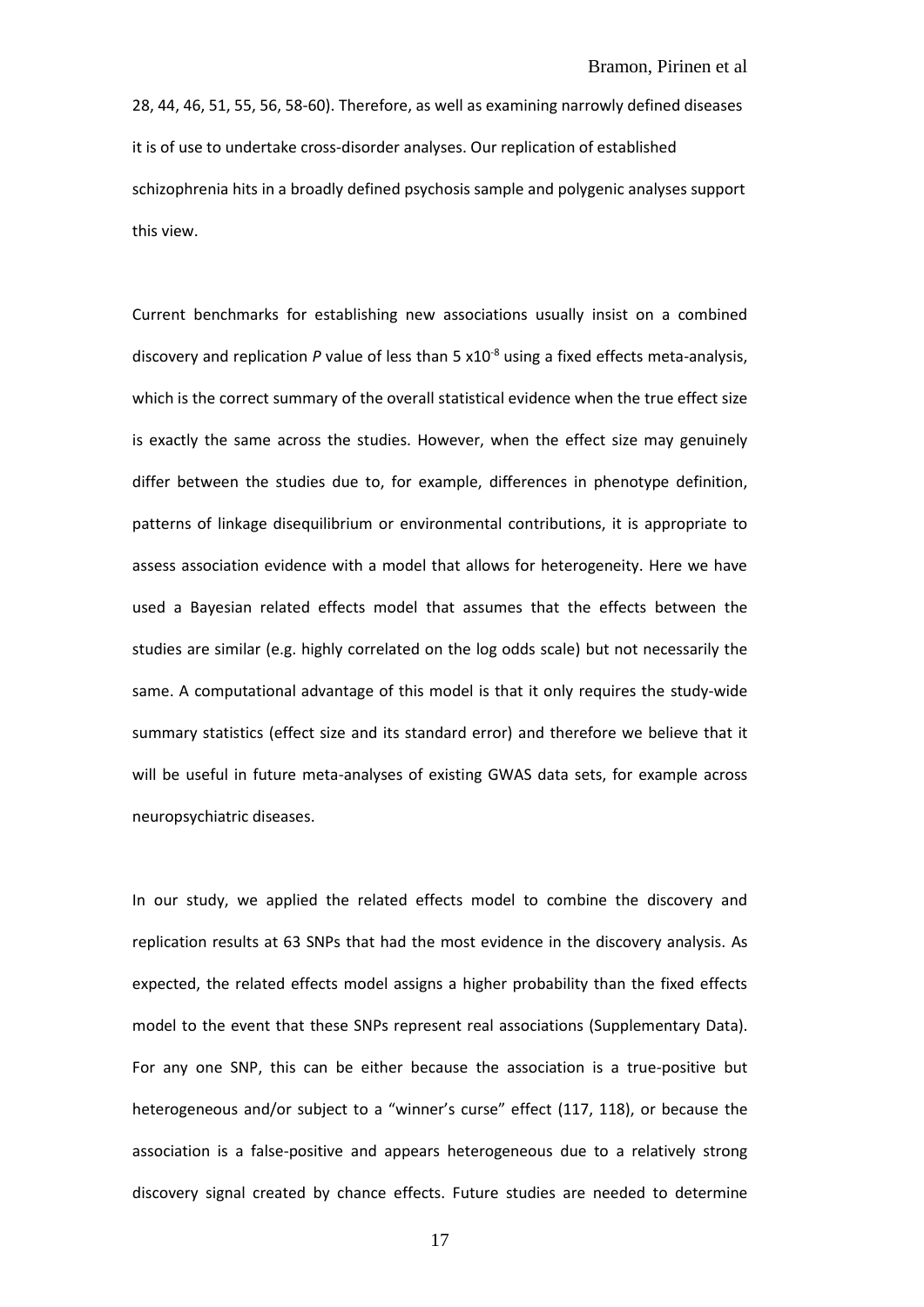[28,](#page-26-4) [44,](#page-27-2) [46,](#page-27-4) [51,](#page-28-0) [55,](#page-28-8) [56,](#page-28-9) [58-60\)](#page-28-7). Therefore, as well as examining narrowly defined diseases it is of use to undertake cross-disorder analyses. Our replication of established schizophrenia hits in a broadly defined psychosis sample and polygenic analyses support this view.

Current benchmarks for establishing new associations usually insist on a combined discovery and replication *P* value of less than 5 x10<sup>-8</sup> using a fixed effects meta-analysis, which is the correct summary of the overall statistical evidence when the true effect size is exactly the same across the studies. However, when the effect size may genuinely differ between the studies due to, for example, differences in phenotype definition, patterns of linkage disequilibrium or environmental contributions, it is appropriate to assess association evidence with a model that allows for heterogeneity. Here we have used a Bayesian related effects model that assumes that the effects between the studies are similar (e.g. highly correlated on the log odds scale) but not necessarily the same. A computational advantage of this model is that it only requires the study-wide summary statistics (effect size and its standard error) and therefore we believe that it will be useful in future meta-analyses of existing GWAS data sets, for example across neuropsychiatric diseases.

In our study, we applied the related effects model to combine the discovery and replication results at 63 SNPs that had the most evidence in the discovery analysis. As expected, the related effects model assigns a higher probability than the fixed effects model to the event that these SNPs represent real associations (Supplementary Data). For any one SNP, this can be either because the association is a true-positive but heterogeneous and/or subject to a "winner's curse" effect [\(117,](#page-31-5) [118\)](#page-31-6), or because the association is a false-positive and appears heterogeneous due to a relatively strong discovery signal created by chance effects. Future studies are needed to determine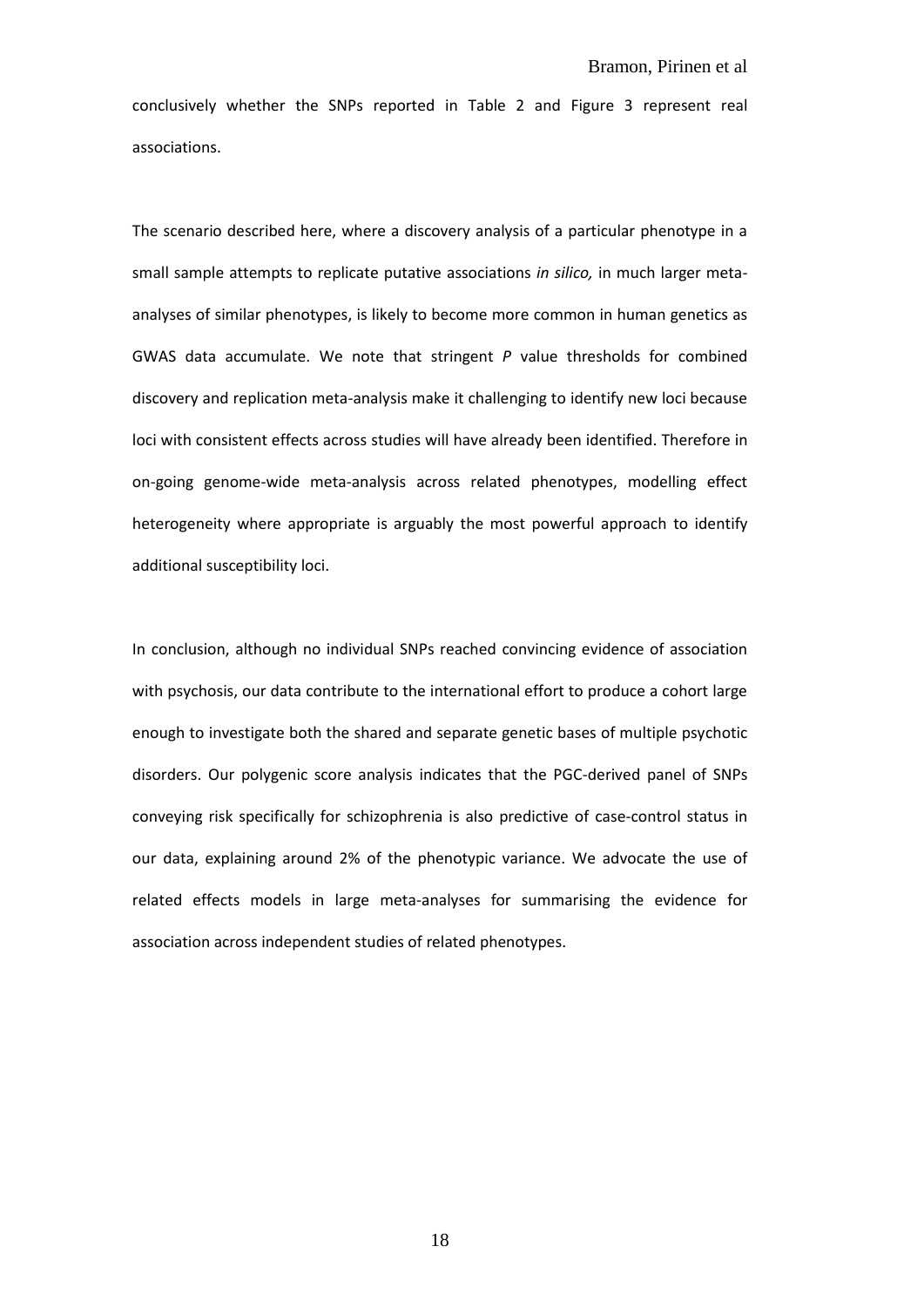conclusively whether the SNPs reported in Table 2 and Figure 3 represent real associations.

The scenario described here, where a discovery analysis of a particular phenotype in a small sample attempts to replicate putative associations *in silico,* in much larger metaanalyses of similar phenotypes, is likely to become more common in human genetics as GWAS data accumulate. We note that stringent *P* value thresholds for combined discovery and replication meta-analysis make it challenging to identify new loci because loci with consistent effects across studies will have already been identified. Therefore in on-going genome-wide meta-analysis across related phenotypes, modelling effect heterogeneity where appropriate is arguably the most powerful approach to identify additional susceptibility loci.

In conclusion, although no individual SNPs reached convincing evidence of association with psychosis, our data contribute to the international effort to produce a cohort large enough to investigate both the shared and separate genetic bases of multiple psychotic disorders. Our polygenic score analysis indicates that the PGC-derived panel of SNPs conveying risk specifically for schizophrenia is also predictive of case-control status in our data, explaining around 2% of the phenotypic variance. We advocate the use of related effects models in large meta-analyses for summarising the evidence for association across independent studies of related phenotypes.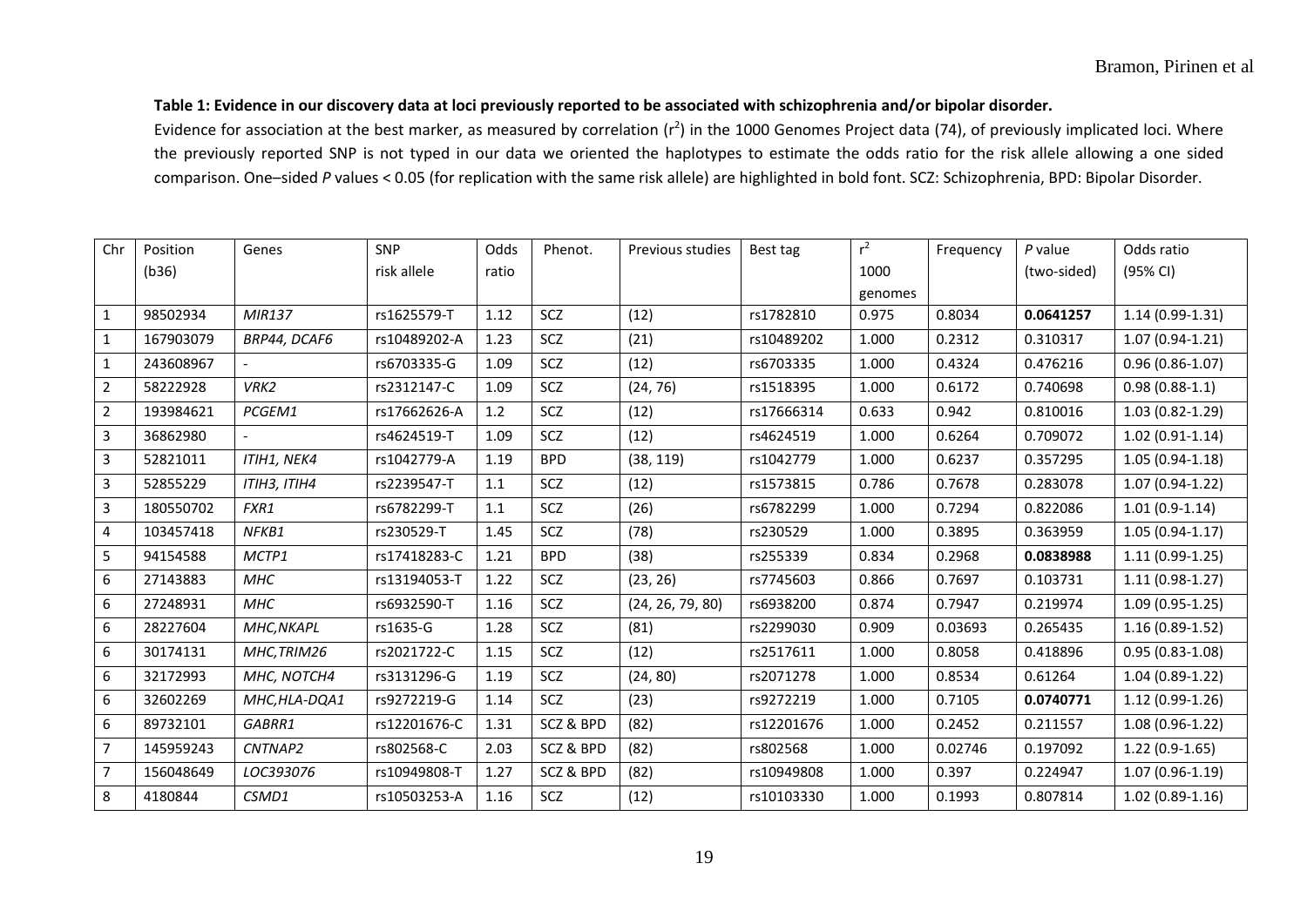## **Table 1: Evidence in our discovery data at loci previously reported to be associated with schizophrenia and/or bipolar disorder.**

Evidence for association at the best marker, as measured by correlation ( $r^2$ ) in the 1000 Genomes Project data [\(74\)](#page-29-10), of previously implicated loci. Where the previously reported SNP is not typed in our data we oriented the haplotypes to estimate the odds ratio for the risk allele allowing a one sided comparison. One–sided *P* values < 0.05 (for replication with the same risk allele) are highlighted in bold font. SCZ: Schizophrenia, BPD: Bipolar Disorder.

| Chr            | Position  | Genes         | SNP          | Odds  | Phenot.    | Previous studies | Best tag   | $r^2$   | Frequency | P value     | Odds ratio          |
|----------------|-----------|---------------|--------------|-------|------------|------------------|------------|---------|-----------|-------------|---------------------|
|                | (b36)     |               | risk allele  | ratio |            |                  |            | 1000    |           | (two-sided) | (95% CI)            |
|                |           |               |              |       |            |                  |            | genomes |           |             |                     |
| $\mathbf{1}$   | 98502934  | <b>MIR137</b> | rs1625579-T  | 1.12  | SCZ        | (12)             | rs1782810  | 0.975   | 0.8034    | 0.0641257   | 1.14 (0.99-1.31)    |
| $\mathbf{1}$   | 167903079 | BRP44, DCAF6  | rs10489202-A | 1.23  | SCZ        | (21)             | rs10489202 | 1.000   | 0.2312    | 0.310317    | $1.07(0.94-1.21)$   |
| $\mathbf{1}$   | 243608967 |               | rs6703335-G  | 1.09  | SCZ        | (12)             | rs6703335  | 1.000   | 0.4324    | 0.476216    | $0.96(0.86 - 1.07)$ |
| $\overline{2}$ | 58222928  | VRK2          | rs2312147-C  | 1.09  | SCZ        | (24, 76)         | rs1518395  | 1.000   | 0.6172    | 0.740698    | $0.98(0.88-1.1)$    |
| $\overline{2}$ | 193984621 | PCGEM1        | rs17662626-A | 1.2   | SCZ        | (12)             | rs17666314 | 0.633   | 0.942     | 0.810016    | $1.03(0.82 - 1.29)$ |
| 3              | 36862980  |               | rs4624519-T  | 1.09  | SCZ        | (12)             | rs4624519  | 1.000   | 0.6264    | 0.709072    | $1.02(0.91-1.14)$   |
| 3              | 52821011  | ITIH1, NEK4   | rs1042779-A  | 1.19  | <b>BPD</b> | (38, 119)        | rs1042779  | 1.000   | 0.6237    | 0.357295    | $1.05(0.94-1.18)$   |
| $\mathbf{3}$   | 52855229  | ITIH3, ITIH4  | rs2239547-T  | 1.1   | SCZ        | (12)             | rs1573815  | 0.786   | 0.7678    | 0.283078    | $1.07(0.94-1.22)$   |
| 3              | 180550702 | FXR1          | rs6782299-T  | 1.1   | SCZ        | (26)             | rs6782299  | 1.000   | 0.7294    | 0.822086    | $1.01(0.9-1.14)$    |
| 4              | 103457418 | NFKB1         | rs230529-T   | 1.45  | SCZ        | (78)             | rs230529   | 1.000   | 0.3895    | 0.363959    | $1.05(0.94-1.17)$   |
| 5 <sup>1</sup> | 94154588  | MCTP1         | rs17418283-C | 1.21  | <b>BPD</b> | (38)             | rs255339   | 0.834   | 0.2968    | 0.0838988   | $1.11(0.99-1.25)$   |
| 6              | 27143883  | <b>MHC</b>    | rs13194053-T | 1.22  | SCZ        | (23, 26)         | rs7745603  | 0.866   | 0.7697    | 0.103731    | $1.11(0.98-1.27)$   |
| 6              | 27248931  | <b>MHC</b>    | rs6932590-T  | 1.16  | SCZ        | (24, 26, 79, 80) | rs6938200  | 0.874   | 0.7947    | 0.219974    | $1.09(0.95-1.25)$   |
| 6              | 28227604  | MHC, NKAPL    | rs1635-G     | 1.28  | SCZ        | (81)             | rs2299030  | 0.909   | 0.03693   | 0.265435    | $1.16(0.89-1.52)$   |
| 6              | 30174131  | MHC, TRIM26   | rs2021722-C  | 1.15  | SCZ        | (12)             | rs2517611  | 1.000   | 0.8058    | 0.418896    | $0.95(0.83 - 1.08)$ |
| 6              | 32172993  | MHC, NOTCH4   | rs3131296-G  | 1.19  | SCZ        | (24, 80)         | rs2071278  | 1.000   | 0.8534    | 0.61264     | $1.04(0.89-1.22)$   |
| 6              | 32602269  | MHC, HLA-DQA1 | rs9272219-G  | 1.14  | SCZ        | (23)             | rs9272219  | 1.000   | 0.7105    | 0.0740771   | 1.12 (0.99-1.26)    |
| 6              | 89732101  | GABRR1        | rs12201676-C | 1.31  | SCZ & BPD  | (82)             | rs12201676 | 1.000   | 0.2452    | 0.211557    | $1.08(0.96-1.22)$   |
| $\overline{7}$ | 145959243 | CNTNAP2       | rs802568-C   | 2.03  | SCZ & BPD  | (82)             | rs802568   | 1.000   | 0.02746   | 0.197092    | $1.22(0.9-1.65)$    |
| $\overline{7}$ | 156048649 | LOC393076     | rs10949808-T | 1.27  | SCZ & BPD  | (82)             | rs10949808 | 1.000   | 0.397     | 0.224947    | $1.07(0.96-1.19)$   |
| 8              | 4180844   | CSMD1         | rs10503253-A | 1.16  | SCZ        | (12)             | rs10103330 | 1.000   | 0.1993    | 0.807814    | $1.02(0.89-1.16)$   |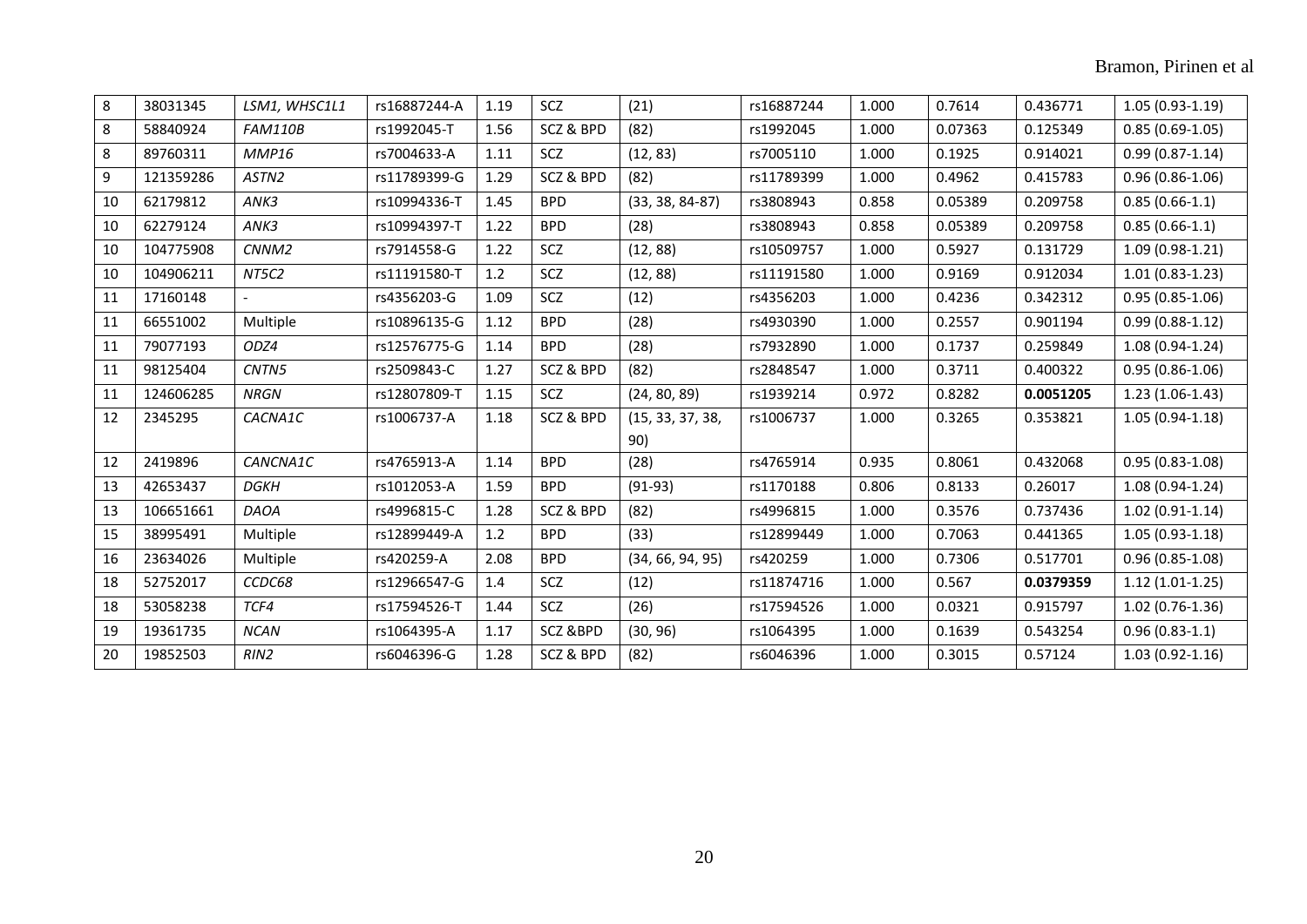| 8      | 38031345  | LSM1, WHSC1L1     | rs16887244-A | 1.19 | <b>SCZ</b> | (21)              | rs16887244 | 1.000 | 0.7614  | 0.436771  | $1.05(0.93-1.19)$   |
|--------|-----------|-------------------|--------------|------|------------|-------------------|------------|-------|---------|-----------|---------------------|
| 8      | 58840924  | <b>FAM110B</b>    | rs1992045-T  | 1.56 | SCZ & BPD  | (82)              | rs1992045  | 1.000 | 0.07363 | 0.125349  | $0.85(0.69-1.05)$   |
| 8      | 89760311  | MMP16             | rs7004633-A  | 1.11 | SCZ        | (12, 83)          | rs7005110  | 1.000 | 0.1925  | 0.914021  | $0.99(0.87 - 1.14)$ |
| 9      | 121359286 | ASTN <sub>2</sub> | rs11789399-G | 1.29 | SCZ & BPD  | (82)              | rs11789399 | 1.000 | 0.4962  | 0.415783  | $0.96(0.86-1.06)$   |
| 10     | 62179812  | ANK3              | rs10994336-T | 1.45 | <b>BPD</b> | $(33, 38, 84-87)$ | rs3808943  | 0.858 | 0.05389 | 0.209758  | $0.85(0.66-1.1)$    |
| 10     | 62279124  | ANK3              | rs10994397-T | 1.22 | <b>BPD</b> | (28)              | rs3808943  | 0.858 | 0.05389 | 0.209758  | $0.85(0.66-1.1)$    |
| 10     | 104775908 | CNNM <sub>2</sub> | rs7914558-G  | 1.22 | SCZ        | (12, 88)          | rs10509757 | 1.000 | 0.5927  | 0.131729  | $1.09(0.98-1.21)$   |
| $10\,$ | 104906211 | NT5C2             | rs11191580-T | 1.2  | SCZ        | (12, 88)          | rs11191580 | 1.000 | 0.9169  | 0.912034  | $1.01(0.83-1.23)$   |
| 11     | 17160148  |                   | rs4356203-G  | 1.09 | SCZ        | (12)              | rs4356203  | 1.000 | 0.4236  | 0.342312  | $0.95(0.85-1.06)$   |
| 11     | 66551002  | Multiple          | rs10896135-G | 1.12 | <b>BPD</b> | (28)              | rs4930390  | 1.000 | 0.2557  | 0.901194  | $0.99(0.88-1.12)$   |
| 11     | 79077193  | ODZ4              | rs12576775-G | 1.14 | <b>BPD</b> | (28)              | rs7932890  | 1.000 | 0.1737  | 0.259849  | $1.08(0.94-1.24)$   |
| 11     | 98125404  | CNTN5             | rs2509843-C  | 1.27 | SCZ & BPD  | (82)              | rs2848547  | 1.000 | 0.3711  | 0.400322  | $0.95(0.86 - 1.06)$ |
| 11     | 124606285 | <b>NRGN</b>       | rs12807809-T | 1.15 | SCZ        | (24, 80, 89)      | rs1939214  | 0.972 | 0.8282  | 0.0051205 | $1.23(1.06-1.43)$   |
| 12     | 2345295   | CACNA1C           | rs1006737-A  | 1.18 | SCZ & BPD  | (15, 33, 37, 38,  | rs1006737  | 1.000 | 0.3265  | 0.353821  | $1.05(0.94-1.18)$   |
|        |           |                   |              |      |            | 90)               |            |       |         |           |                     |
| 12     | 2419896   | CANCNA1C          | rs4765913-A  | 1.14 | <b>BPD</b> | (28)              | rs4765914  | 0.935 | 0.8061  | 0.432068  | $0.95(0.83 - 1.08)$ |
| 13     | 42653437  | <b>DGKH</b>       | rs1012053-A  | 1.59 | <b>BPD</b> | $(91-93)$         | rs1170188  | 0.806 | 0.8133  | 0.26017   | $1.08(0.94-1.24)$   |
| 13     | 106651661 | DAOA              | rs4996815-C  | 1.28 | SCZ & BPD  | (82)              | rs4996815  | 1.000 | 0.3576  | 0.737436  | $1.02(0.91-1.14)$   |
| 15     | 38995491  | Multiple          | rs12899449-A | 1.2  | <b>BPD</b> | (33)              | rs12899449 | 1.000 | 0.7063  | 0.441365  | $1.05(0.93-1.18)$   |
| 16     | 23634026  | Multiple          | rs420259-A   | 2.08 | <b>BPD</b> | (34, 66, 94, 95)  | rs420259   | 1.000 | 0.7306  | 0.517701  | $0.96(0.85-1.08)$   |
| 18     | 52752017  | CCDC68            | rs12966547-G | 1.4  | SCZ        | (12)              | rs11874716 | 1.000 | 0.567   | 0.0379359 | $1.12(1.01-1.25)$   |
| 18     | 53058238  | TCF4              | rs17594526-T | 1.44 | SCZ        | (26)              | rs17594526 | 1.000 | 0.0321  | 0.915797  | $1.02(0.76-1.36)$   |
| 19     | 19361735  | <b>NCAN</b>       | rs1064395-A  | 1.17 | SCZ &BPD   | (30, 96)          | rs1064395  | 1.000 | 0.1639  | 0.543254  | $0.96(0.83-1.1)$    |
| 20     | 19852503  | RIN <sub>2</sub>  | rs6046396-G  | 1.28 | SCZ & BPD  | (82)              | rs6046396  | 1.000 | 0.3015  | 0.57124   | $1.03(0.92 - 1.16)$ |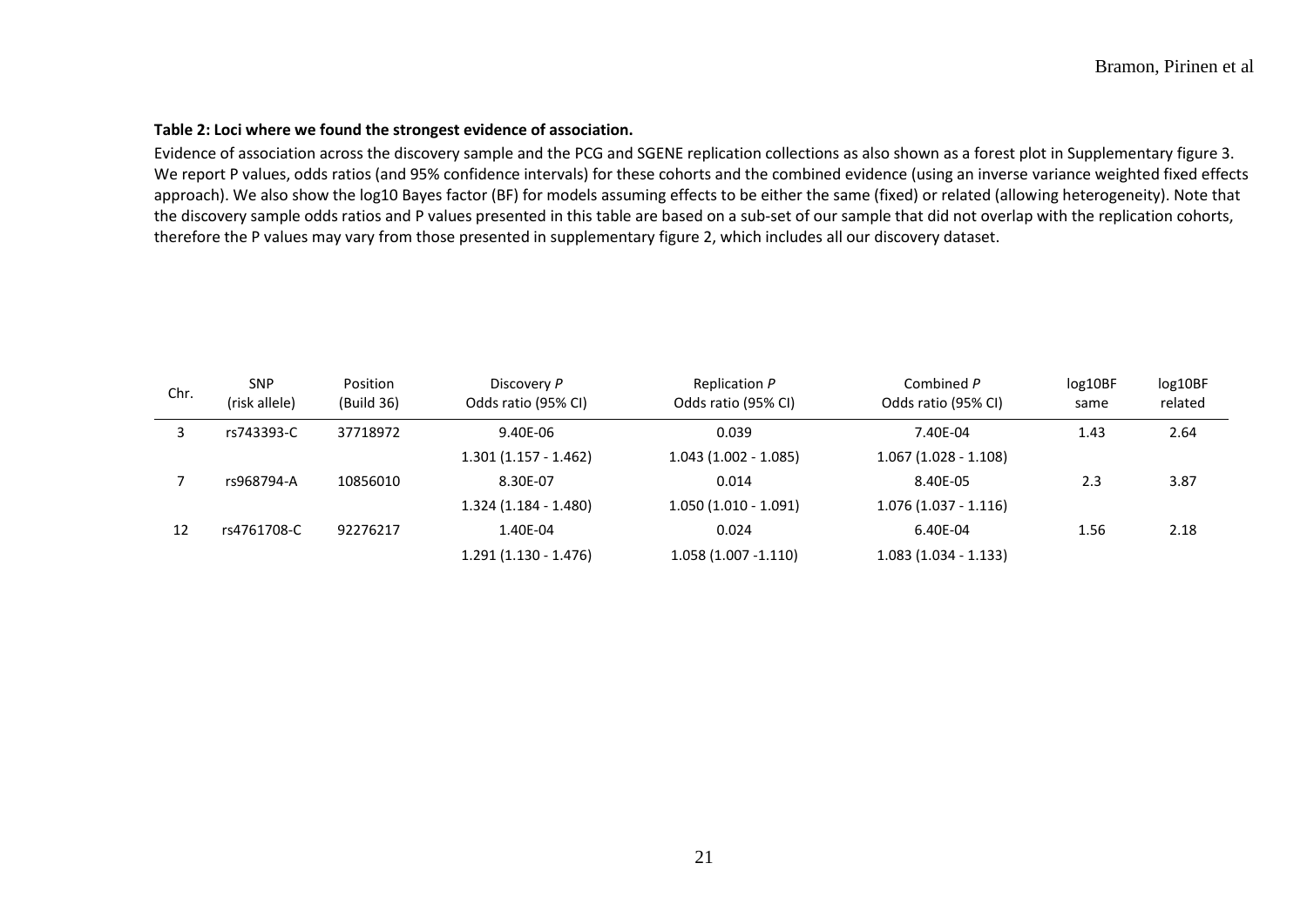## **Table 2: Loci where we found the strongest evidence of association.**

Evidence of association across the discovery sample and the PCG and SGENE replication collections as also shown as a forest plot in Supplementary figure 3. We report P values, odds ratios (and 95% confidence intervals) for these cohorts and the combined evidence (using an inverse variance weighted fixed effects approach). We also show the log10 Bayes factor (BF) for models assuming effects to be either the same (fixed) or related (allowing heterogeneity). Note that the discovery sample odds ratios and P values presented in this table are based on a sub-set of our sample that did not overlap with the replication cohorts, therefore the P values may vary from those presented in supplementary figure 2, which includes all our discovery dataset.

| Chr. | <b>SNP</b><br>(risk allele) | Position<br>(Build 36) | Discovery P<br>Odds ratio (95% CI) | Replication P<br>Odds ratio (95% CI) | Combined P<br>Odds ratio (95% CI) | log 10BF<br>same | log 10BF<br>related |
|------|-----------------------------|------------------------|------------------------------------|--------------------------------------|-----------------------------------|------------------|---------------------|
|      | rs743393-C                  | 37718972               | 9.40E-06                           | 0.039                                | 7.40E-04                          | 1.43             | 2.64                |
|      |                             |                        | $1.301(1.157 - 1.462)$             | $1.043(1.002 - 1.085)$               | $1.067(1.028 - 1.108)$            |                  |                     |
|      | rs968794-A                  | 10856010               | 8.30E-07                           | 0.014                                | 8.40E-05                          | 2.3              | 3.87                |
|      |                             |                        | $1.324(1.184 - 1.480)$             | $1.050(1.010 - 1.091)$               | $1.076(1.037 - 1.116)$            |                  |                     |
| 12   | rs4761708-C                 | 92276217               | 1.40E-04                           | 0.024                                | 6.40E-04                          | 1.56             | 2.18                |
|      |                             |                        | $1.291(1.130 - 1.476)$             | $1.058(1.007 - 1.110)$               | $1.083(1.034 - 1.133)$            |                  |                     |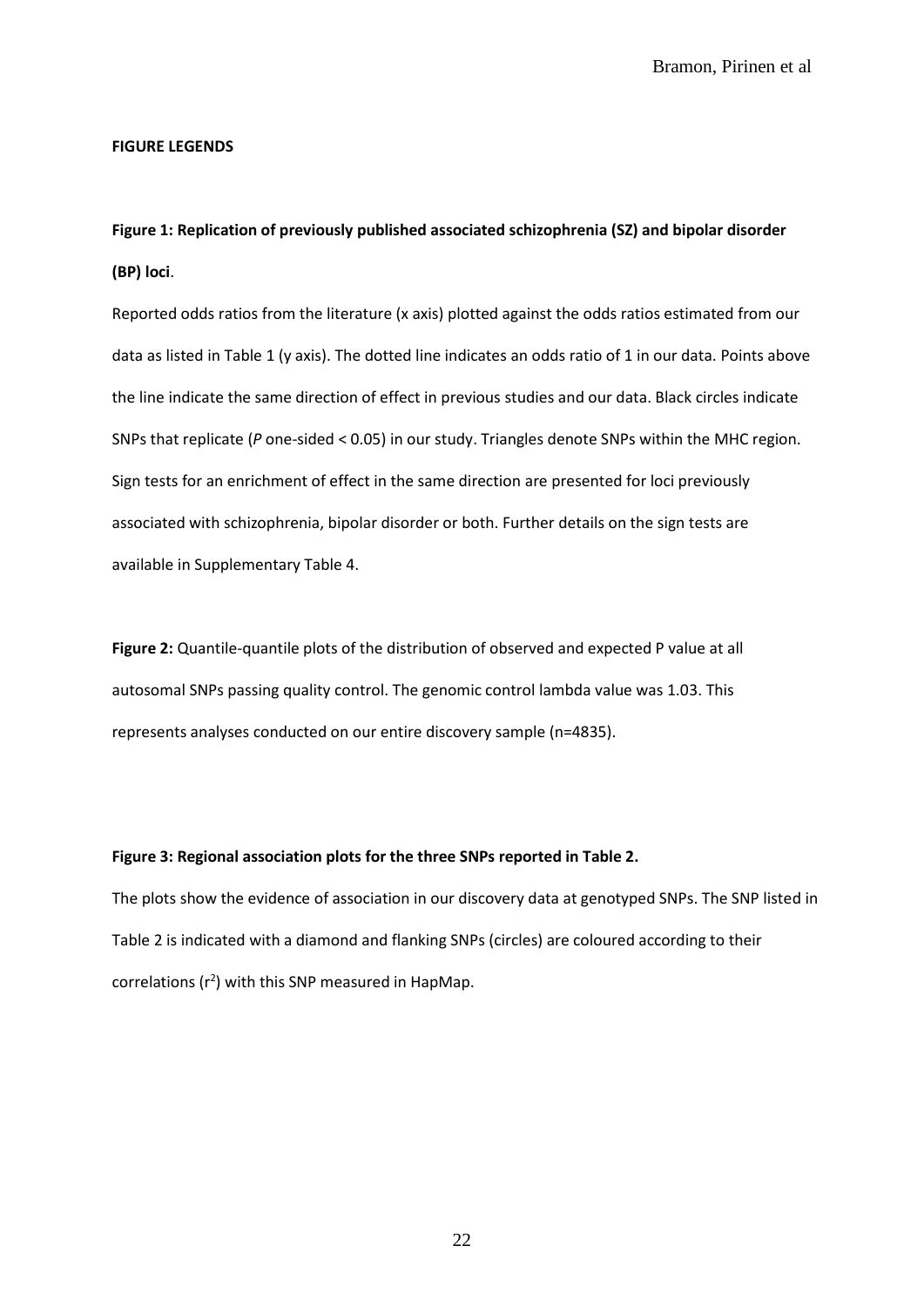#### **FIGURE LEGENDS**

# **Figure 1: Replication of previously published associated schizophrenia (SZ) and bipolar disorder (BP) loci**.

Reported odds ratios from the literature (x axis) plotted against the odds ratios estimated from our data as listed in Table 1 (y axis). The dotted line indicates an odds ratio of 1 in our data. Points above the line indicate the same direction of effect in previous studies and our data. Black circles indicate SNPs that replicate (*P* one-sided < 0.05) in our study. Triangles denote SNPs within the MHC region. Sign tests for an enrichment of effect in the same direction are presented for loci previously associated with schizophrenia, bipolar disorder or both. Further details on the sign tests are available in Supplementary Table 4.

**Figure 2:** Quantile-quantile plots of the distribution of observed and expected P value at all autosomal SNPs passing quality control. The genomic control lambda value was 1.03. This represents analyses conducted on our entire discovery sample (n=4835).

#### **Figure 3: Regional association plots for the three SNPs reported in Table 2.**

The plots show the evidence of association in our discovery data at genotyped SNPs. The SNP listed in Table 2 is indicated with a diamond and flanking SNPs (circles) are coloured according to their correlations ( $r^2$ ) with this SNP measured in HapMap.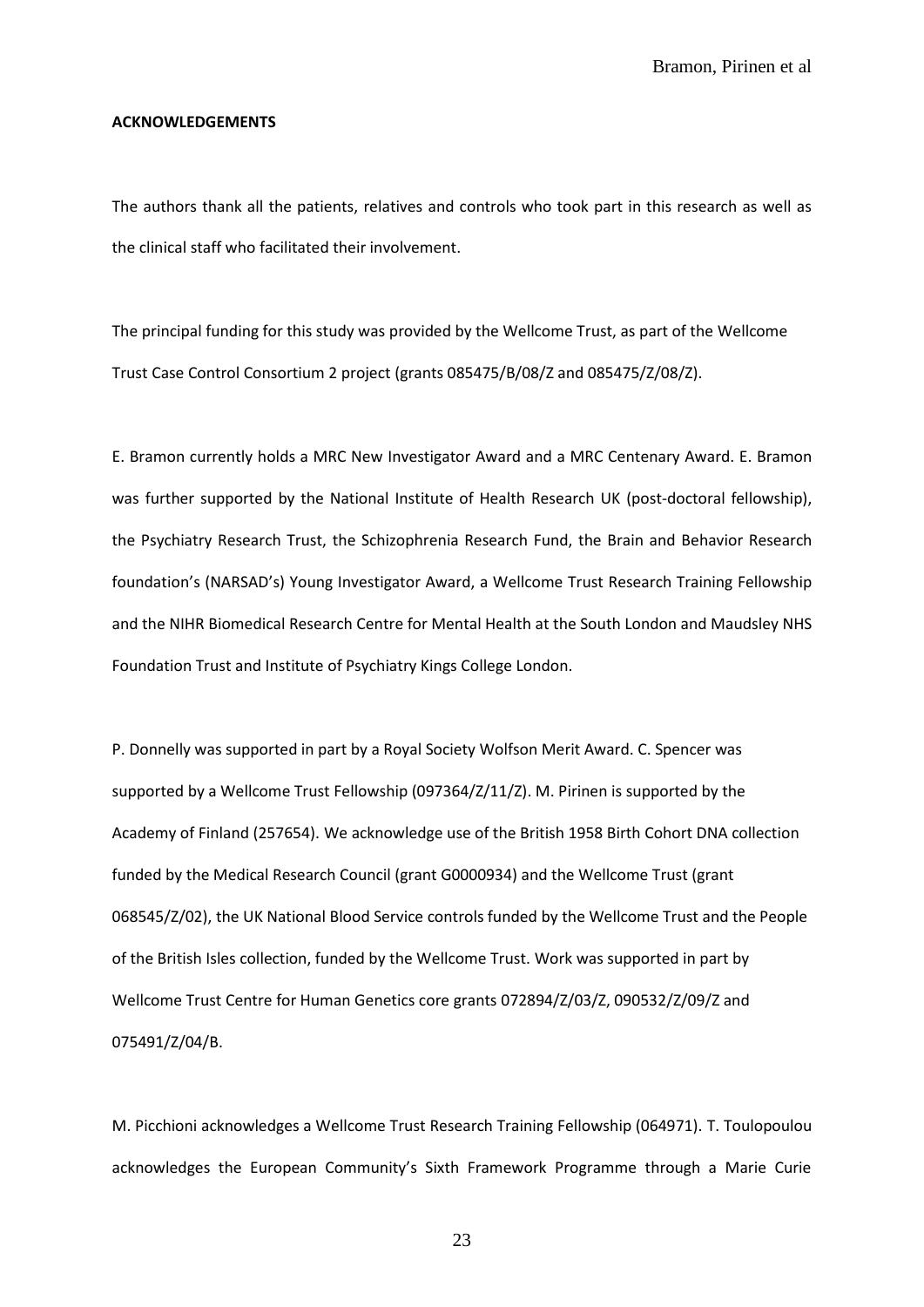#### **ACKNOWLEDGEMENTS**

The authors thank all the patients, relatives and controls who took part in this research as well as the clinical staff who facilitated their involvement.

The principal funding for this study was provided by the Wellcome Trust, as part of the Wellcome Trust Case Control Consortium 2 project (grants 085475/B/08/Z and 085475/Z/08/Z).

E. Bramon currently holds a MRC New Investigator Award and a MRC Centenary Award. E. Bramon was further supported by the National Institute of Health Research UK (post-doctoral fellowship), the Psychiatry Research Trust, the Schizophrenia Research Fund, the Brain and Behavior Research foundation's (NARSAD's) Young Investigator Award, a Wellcome Trust Research Training Fellowship and the NIHR Biomedical Research Centre for Mental Health at the South London and Maudsley NHS Foundation Trust and Institute of Psychiatry Kings College London.

P. Donnelly was supported in part by a Royal Society Wolfson Merit Award. C. Spencer was supported by a Wellcome Trust Fellowship (097364/Z/11/Z). M. Pirinen is supported by the Academy of Finland (257654). We acknowledge use of the British 1958 Birth Cohort DNA collection funded by the Medical Research Council (grant G0000934) and the Wellcome Trust (grant 068545/Z/02), the UK National Blood Service controls funded by the Wellcome Trust and the People of the British Isles collection, funded by the Wellcome Trust. Work was supported in part by Wellcome Trust Centre for Human Genetics core grants 072894/Z/03/Z, 090532/Z/09/Z and 075491/Z/04/B.

M. Picchioni acknowledges a Wellcome Trust Research Training Fellowship (064971). T. Toulopoulou acknowledges the European Community's Sixth Framework Programme through a Marie Curie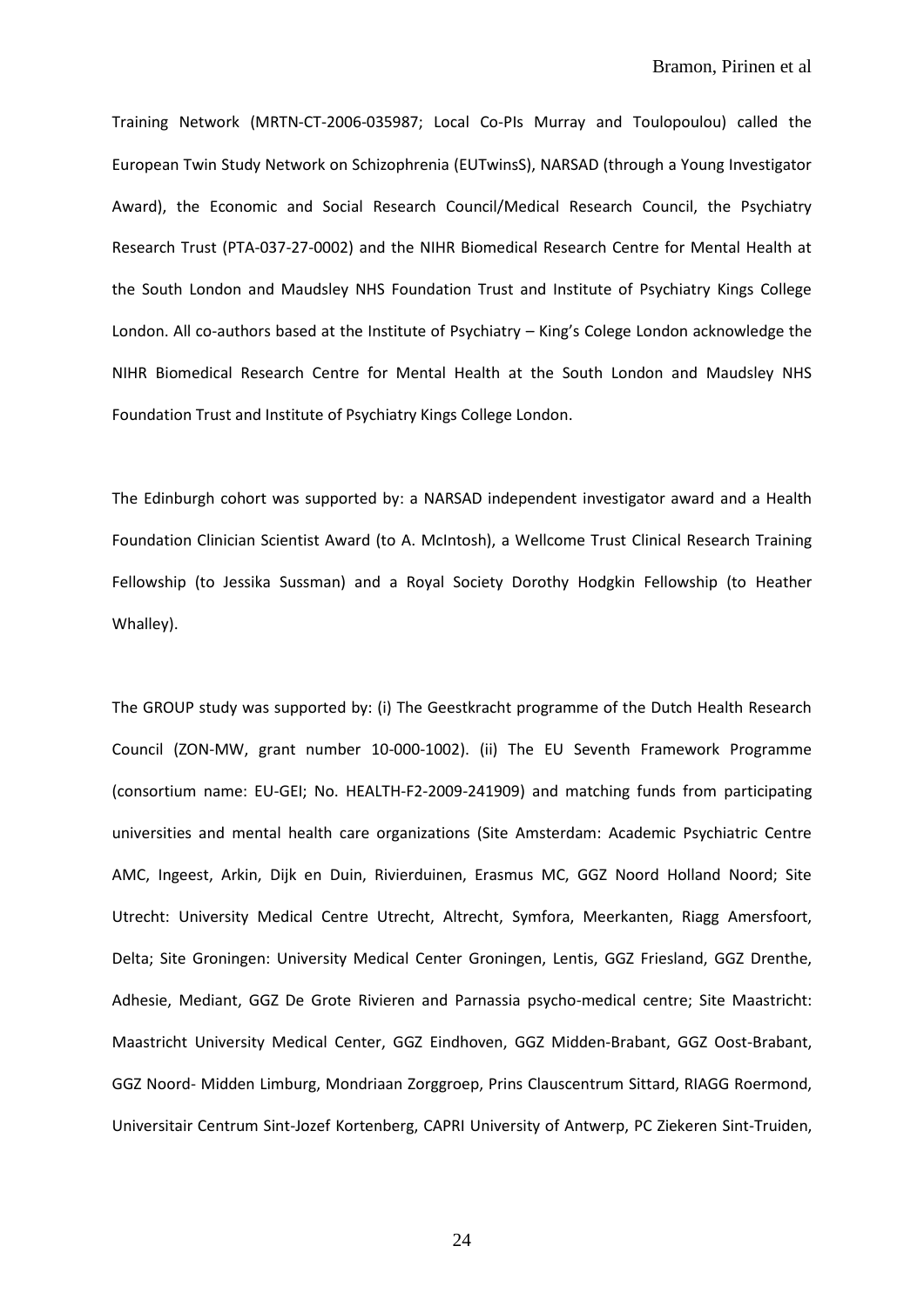Training Network (MRTN-CT-2006-035987; Local Co-PIs Murray and Toulopoulou) called the European Twin Study Network on Schizophrenia (EUTwinsS), NARSAD (through a Young Investigator Award), the Economic and Social Research Council/Medical Research Council, the Psychiatry Research Trust (PTA-037-27-0002) and the NIHR Biomedical Research Centre for Mental Health at the South London and Maudsley NHS Foundation Trust and Institute of Psychiatry Kings College London. All co-authors based at the Institute of Psychiatry – King's Colege London acknowledge the NIHR Biomedical Research Centre for Mental Health at the South London and Maudsley NHS Foundation Trust and Institute of Psychiatry Kings College London.

The Edinburgh cohort was supported by: a NARSAD independent investigator award and a Health Foundation Clinician Scientist Award (to A. McIntosh), a Wellcome Trust Clinical Research Training Fellowship (to Jessika Sussman) and a Royal Society Dorothy Hodgkin Fellowship (to Heather Whalley).

The GROUP study was supported by: (i) The Geestkracht programme of the Dutch Health Research Council (ZON-MW, grant number 10-000-1002). (ii) The EU Seventh Framework Programme (consortium name: EU-GEI; No. HEALTH-F2-2009-241909) and matching funds from participating universities and mental health care organizations (Site Amsterdam: Academic Psychiatric Centre AMC, Ingeest, Arkin, Dijk en Duin, Rivierduinen, Erasmus MC, GGZ Noord Holland Noord; Site Utrecht: University Medical Centre Utrecht, Altrecht, Symfora, Meerkanten, Riagg Amersfoort, Delta; Site Groningen: University Medical Center Groningen, Lentis, GGZ Friesland, GGZ Drenthe, Adhesie, Mediant, GGZ De Grote Rivieren and Parnassia psycho-medical centre; Site Maastricht: Maastricht University Medical Center, GGZ Eindhoven, GGZ Midden-Brabant, GGZ Oost-Brabant, GGZ Noord- Midden Limburg, Mondriaan Zorggroep, Prins Clauscentrum Sittard, RIAGG Roermond, Universitair Centrum Sint-Jozef Kortenberg, CAPRI University of Antwerp, PC Ziekeren Sint-Truiden,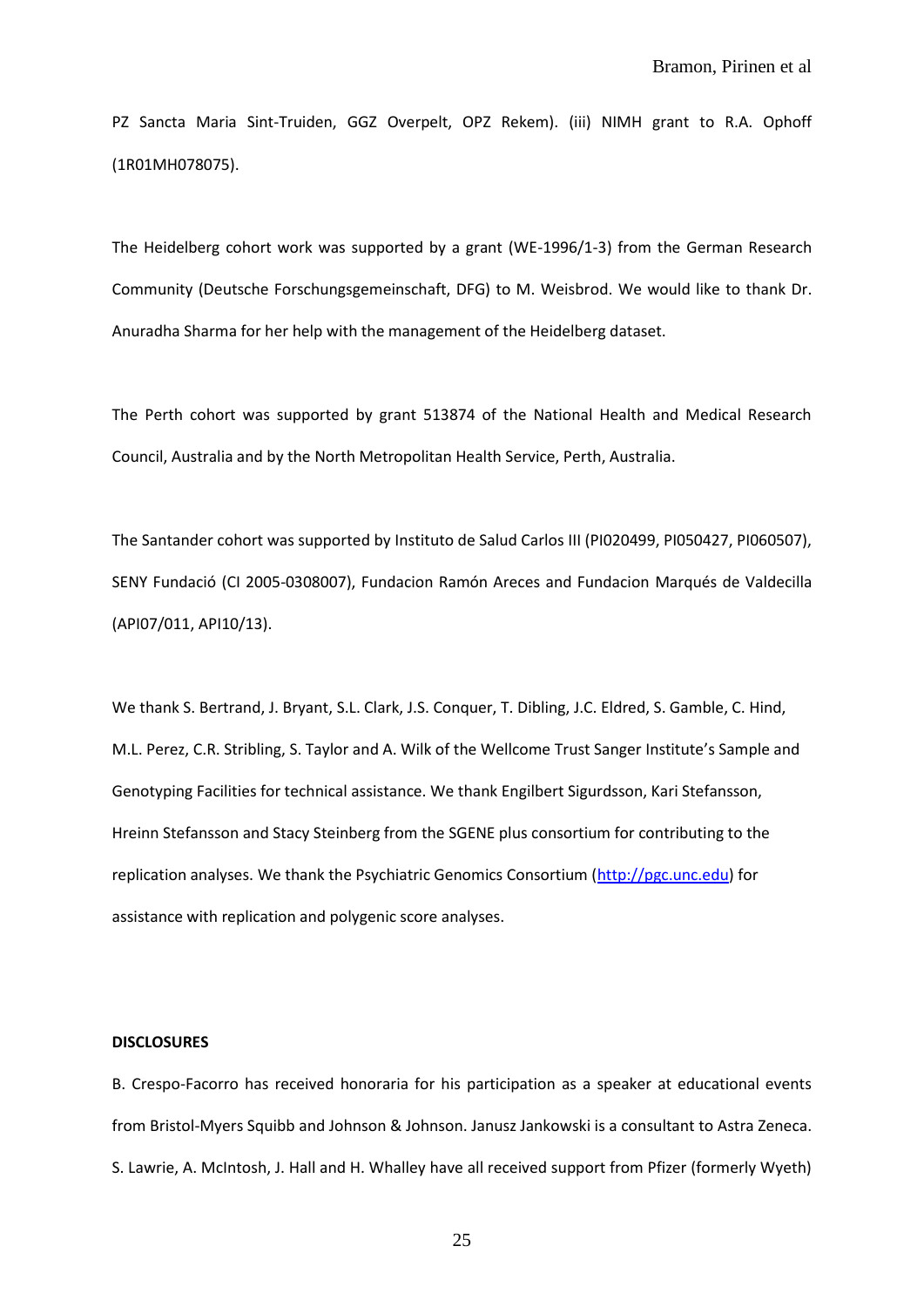PZ Sancta Maria Sint-Truiden, GGZ Overpelt, OPZ Rekem). (iii) NIMH grant to R.A. Ophoff (1R01MH078075).

The Heidelberg cohort work was supported by a grant (WE-1996/1-3) from the German Research Community (Deutsche Forschungsgemeinschaft, DFG) to M. Weisbrod. We would like to thank Dr. Anuradha Sharma for her help with the management of the Heidelberg dataset.

The Perth cohort was supported by grant 513874 of the National Health and Medical Research Council, Australia and by the North Metropolitan Health Service, Perth, Australia.

The Santander cohort was supported by Instituto de Salud Carlos III (PI020499, PI050427, PI060507), SENY Fundació (CI 2005-0308007), Fundacion Ramón Areces and Fundacion Marqués de Valdecilla (API07/011, API10/13).

We thank S. Bertrand, J. Bryant, S.L. Clark, J.S. Conquer, T. Dibling, J.C. Eldred, S. Gamble, C. Hind, M.L. Perez, C.R. Stribling, S. Taylor and A. Wilk of the Wellcome Trust Sanger Institute's Sample and Genotyping Facilities for technical assistance. We thank Engilbert Sigurdsson, Kari Stefansson, Hreinn Stefansson and Stacy Steinberg from the SGENE plus consortium for contributing to the replication analyses. We thank the Psychiatric Genomics Consortium [\(http://pgc.unc.edu\)](http://pgc.unc.edu/) for assistance with replication and polygenic score analyses.

#### **DISCLOSURES**

B. Crespo-Facorro has received honoraria for his participation as a speaker at educational events from Bristol-Myers Squibb and Johnson & Johnson. Janusz Jankowski is a consultant to Astra Zeneca. S. Lawrie, A. McIntosh, J. Hall and H. Whalley have all received support from Pfizer (formerly Wyeth)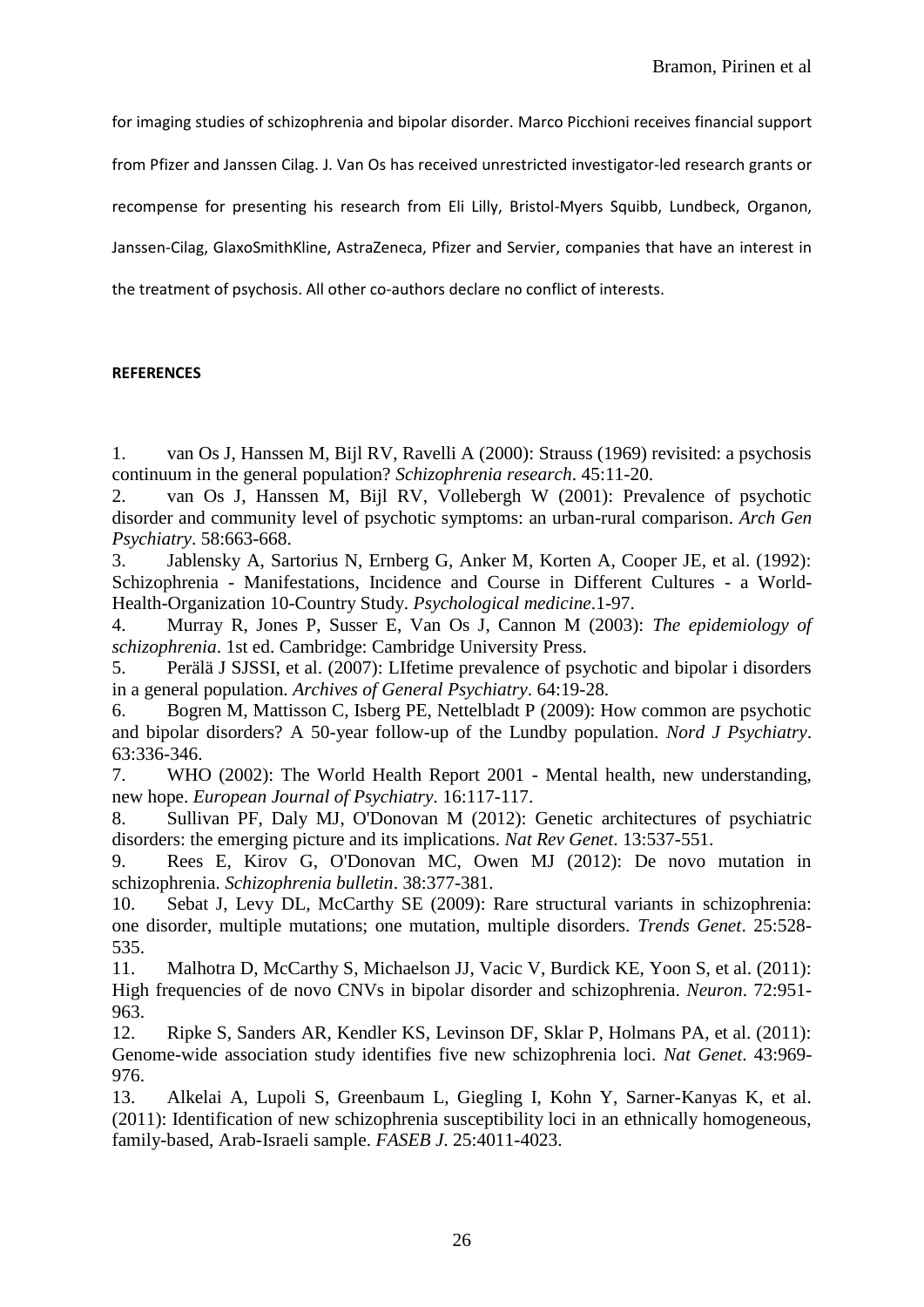for imaging studies of schizophrenia and bipolar disorder. Marco Picchioni receives financial support

from Pfizer and Janssen Cilag. J. Van Os has received unrestricted investigator-led research grants or

recompense for presenting his research from Eli Lilly, Bristol-Myers Squibb, Lundbeck, Organon,

Janssen-Cilag, GlaxoSmithKline, AstraZeneca, Pfizer and Servier, companies that have an interest in

the treatment of psychosis. All other co-authors declare no conflict of interests.

# **REFERENCES**

<span id="page-25-0"></span>1. van Os J, Hanssen M, Bijl RV, Ravelli A (2000): Strauss (1969) revisited: a psychosis continuum in the general population? *Schizophrenia research*. 45:11-20.

2. van Os J, Hanssen M, Bijl RV, Vollebergh W (2001): Prevalence of psychotic disorder and community level of psychotic symptoms: an urban-rural comparison. *Arch Gen Psychiatry*. 58:663-668.

3. Jablensky A, Sartorius N, Ernberg G, Anker M, Korten A, Cooper JE, et al. (1992): Schizophrenia - Manifestations, Incidence and Course in Different Cultures - a World-Health-Organization 10-Country Study. *Psychological medicine*.1-97.

4. Murray R, Jones P, Susser E, Van Os J, Cannon M (2003): *The epidemiology of schizophrenia*. 1st ed. Cambridge: Cambridge University Press.

<span id="page-25-6"></span>5. Perälä J SJSSI, et al. (2007): LIfetime prevalence of psychotic and bipolar i disorders in a general population. *Archives of General Psychiatry*. 64:19-28.

6. Bogren M, Mattisson C, Isberg PE, Nettelbladt P (2009): How common are psychotic and bipolar disorders? A 50-year follow-up of the Lundby population. *Nord J Psychiatry*. 63:336-346.

<span id="page-25-1"></span>7. WHO (2002): The World Health Report 2001 - Mental health, new understanding, new hope. *European Journal of Psychiatry*. 16:117-117.

<span id="page-25-2"></span>8. Sullivan PF, Daly MJ, O'Donovan M (2012): Genetic architectures of psychiatric disorders: the emerging picture and its implications. *Nat Rev Genet*. 13:537-551.

9. Rees E, Kirov G, O'Donovan MC, Owen MJ (2012): De novo mutation in schizophrenia. *Schizophrenia bulletin*. 38:377-381.

<span id="page-25-5"></span>10. Sebat J, Levy DL, McCarthy SE (2009): Rare structural variants in schizophrenia: one disorder, multiple mutations; one mutation, multiple disorders. *Trends Genet*. 25:528- 535.

11. Malhotra D, McCarthy S, Michaelson JJ, Vacic V, Burdick KE, Yoon S, et al. (2011): High frequencies of de novo CNVs in bipolar disorder and schizophrenia. *Neuron*. 72:951- 963.

<span id="page-25-3"></span>12. Ripke S, Sanders AR, Kendler KS, Levinson DF, Sklar P, Holmans PA, et al. (2011): Genome-wide association study identifies five new schizophrenia loci. *Nat Genet*. 43:969- 976.

<span id="page-25-4"></span>13. Alkelai A, Lupoli S, Greenbaum L, Giegling I, Kohn Y, Sarner-Kanyas K, et al. (2011): Identification of new schizophrenia susceptibility loci in an ethnically homogeneous, family-based, Arab-Israeli sample. *FASEB J*. 25:4011-4023.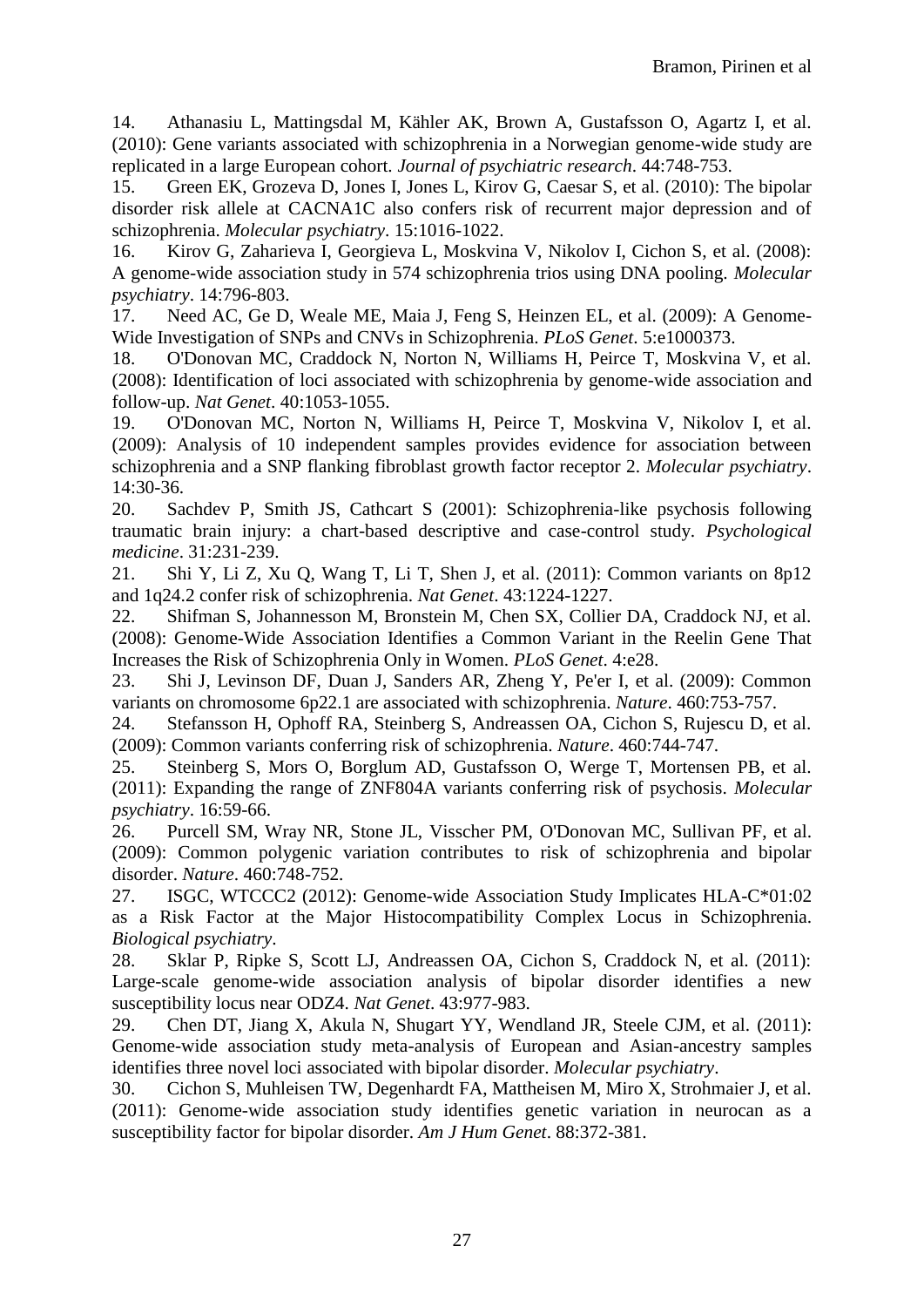<span id="page-26-16"></span><span id="page-26-10"></span>14. Athanasiu L, Mattingsdal M, Kähler AK, Brown A, Gustafsson O, Agartz I, et al. (2010): Gene variants associated with schizophrenia in a Norwegian genome-wide study are replicated in a large European cohort. *Journal of psychiatric research*. 44:748-753.

<span id="page-26-11"></span><span id="page-26-5"></span>15. Green EK, Grozeva D, Jones I, Jones L, Kirov G, Caesar S, et al. (2010): The bipolar disorder risk allele at CACNA1C also confers risk of recurrent major depression and of schizophrenia. *Molecular psychiatry*. 15:1016-1022.

16. Kirov G, Zaharieva I, Georgieva L, Moskvina V, Nikolov I, Cichon S, et al. (2008): A genome-wide association study in 574 schizophrenia trios using DNA pooling. *Molecular psychiatry*. 14:796-803.

<span id="page-26-14"></span>17. Need AC, Ge D, Weale ME, Maia J, Feng S, Heinzen EL, et al. (2009): A Genome-Wide Investigation of SNPs and CNVs in Schizophrenia. *PLoS Genet*. 5:e1000373.

<span id="page-26-12"></span>18. O'Donovan MC, Craddock N, Norton N, Williams H, Peirce T, Moskvina V, et al. (2008): Identification of loci associated with schizophrenia by genome-wide association and follow-up. *Nat Genet*. 40:1053-1055.

<span id="page-26-13"></span>19. O'Donovan MC, Norton N, Williams H, Peirce T, Moskvina V, Nikolov I, et al. (2009): Analysis of 10 independent samples provides evidence for association between schizophrenia and a SNP flanking fibroblast growth factor receptor 2. *Molecular psychiatry*. 14:30-36.

20. Sachdev P, Smith JS, Cathcart S (2001): Schizophrenia-like psychosis following traumatic brain injury: a chart-based descriptive and case-control study. *Psychological medicine*. 31:231-239.

<span id="page-26-15"></span><span id="page-26-7"></span>21. Shi Y, Li Z, Xu Q, Wang T, Li T, Shen J, et al. (2011): Common variants on 8p12 and 1q24.2 confer risk of schizophrenia. *Nat Genet*. 43:1224-1227.

22. Shifman S, Johannesson M, Bronstein M, Chen SX, Collier DA, Craddock NJ, et al. (2008): Genome-Wide Association Identifies a Common Variant in the Reelin Gene That Increases the Risk of Schizophrenia Only in Women. *PLoS Genet*. 4:e28.

<span id="page-26-0"></span>23. Shi J, Levinson DF, Duan J, Sanders AR, Zheng Y, Pe'er I, et al. (2009): Common variants on chromosome 6p22.1 are associated with schizophrenia. *Nature*. 460:753-757.

<span id="page-26-17"></span><span id="page-26-1"></span>24. Stefansson H, Ophoff RA, Steinberg S, Andreassen OA, Cichon S, Rujescu D, et al. (2009): Common variants conferring risk of schizophrenia. *Nature*. 460:744-747.

<span id="page-26-9"></span>25. Steinberg S, Mors O, Borglum AD, Gustafsson O, Werge T, Mortensen PB, et al. (2011): Expanding the range of ZNF804A variants conferring risk of psychosis. *Molecular psychiatry*. 16:59-66.

<span id="page-26-2"></span>26. Purcell SM, Wray NR, Stone JL, Visscher PM, O'Donovan MC, Sullivan PF, et al. (2009): Common polygenic variation contributes to risk of schizophrenia and bipolar disorder. *Nature*. 460:748-752.

<span id="page-26-3"></span>27. ISGC, WTCCC2 (2012): Genome-wide Association Study Implicates HLA-C\*01:02 as a Risk Factor at the Major Histocompatibility Complex Locus in Schizophrenia. *Biological psychiatry*.

<span id="page-26-4"></span>28. Sklar P, Ripke S, Scott LJ, Andreassen OA, Cichon S, Craddock N, et al. (2011): Large-scale genome-wide association analysis of bipolar disorder identifies a new susceptibility locus near ODZ4. *Nat Genet*. 43:977-983.

<span id="page-26-6"></span>29. Chen DT, Jiang X, Akula N, Shugart YY, Wendland JR, Steele CJM, et al. (2011): Genome-wide association study meta-analysis of European and Asian-ancestry samples identifies three novel loci associated with bipolar disorder. *Molecular psychiatry*.

<span id="page-26-8"></span>30. Cichon S, Muhleisen TW, Degenhardt FA, Mattheisen M, Miro X, Strohmaier J, et al. (2011): Genome-wide association study identifies genetic variation in neurocan as a susceptibility factor for bipolar disorder. *Am J Hum Genet*. 88:372-381.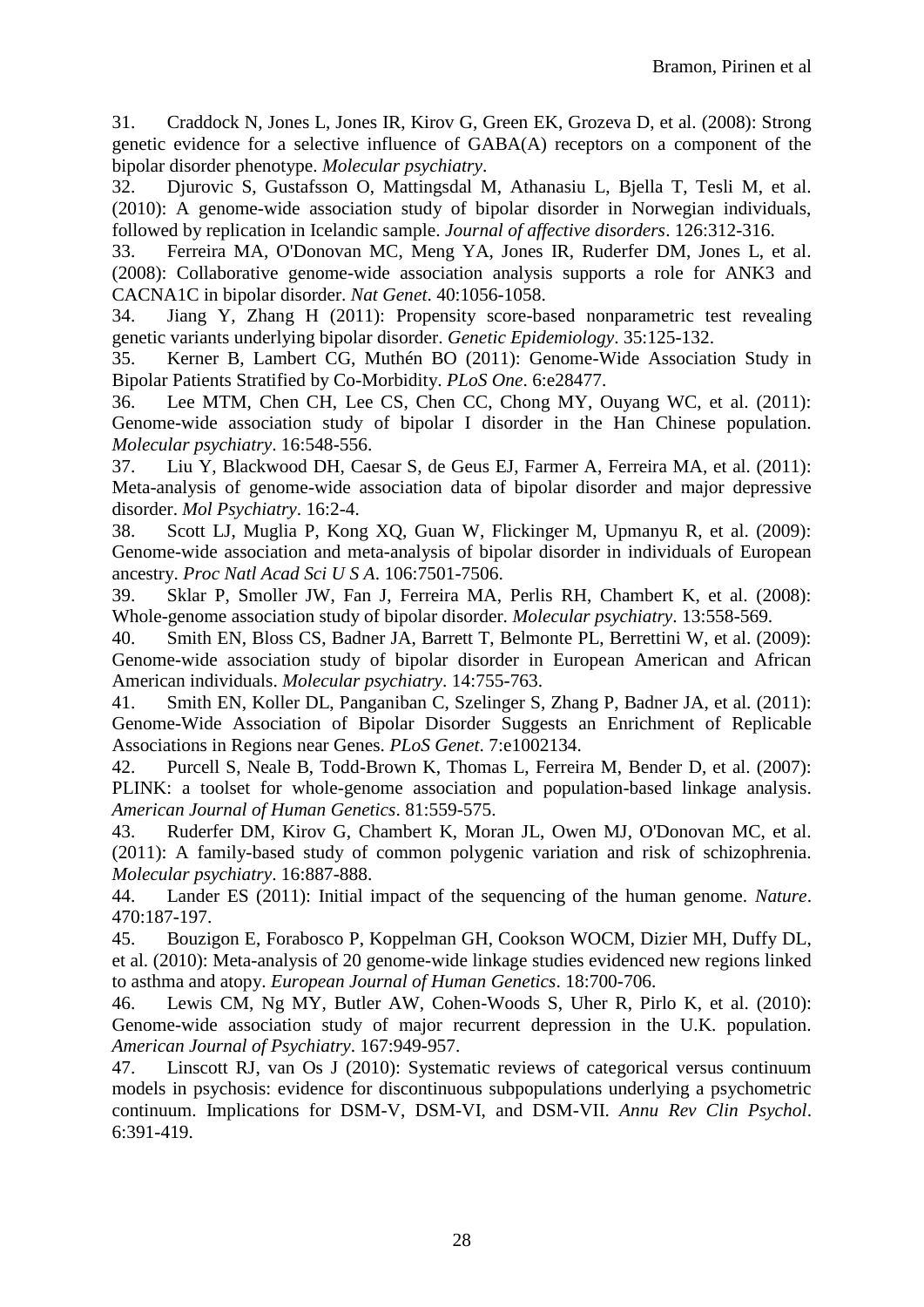<span id="page-27-12"></span><span id="page-27-11"></span><span id="page-27-10"></span><span id="page-27-9"></span>31. Craddock N, Jones L, Jones IR, Kirov G, Green EK, Grozeva D, et al. (2008): Strong genetic evidence for a selective influence of GABA(A) receptors on a component of the bipolar disorder phenotype. *Molecular psychiatry*.

32. Djurovic S, Gustafsson O, Mattingsdal M, Athanasiu L, Bjella T, Tesli M, et al. (2010): A genome-wide association study of bipolar disorder in Norwegian individuals, followed by replication in Icelandic sample. *Journal of affective disorders*. 126:312-316.

<span id="page-27-5"></span>33. Ferreira MA, O'Donovan MC, Meng YA, Jones IR, Ruderfer DM, Jones L, et al. (2008): Collaborative genome-wide association analysis supports a role for ANK3 and CACNA1C in bipolar disorder. *Nat Genet*. 40:1056-1058.

<span id="page-27-6"></span>34. Jiang Y, Zhang H (2011): Propensity score-based nonparametric test revealing genetic variants underlying bipolar disorder. *Genetic Epidemiology*. 35:125-132.

35. Kerner B, Lambert CG, Muthén BO (2011): Genome-Wide Association Study in Bipolar Patients Stratified by Co-Morbidity. *PLoS One*. 6:e28477.

36. Lee MTM, Chen CH, Lee CS, Chen CC, Chong MY, Ouyang WC, et al. (2011): Genome-wide association study of bipolar I disorder in the Han Chinese population. *Molecular psychiatry*. 16:548-556.

<span id="page-27-7"></span>37. Liu Y, Blackwood DH, Caesar S, de Geus EJ, Farmer A, Ferreira MA, et al. (2011): Meta-analysis of genome-wide association data of bipolar disorder and major depressive disorder. *Mol Psychiatry*. 16:2-4.

<span id="page-27-8"></span>38. Scott LJ, Muglia P, Kong XQ, Guan W, Flickinger M, Upmanyu R, et al. (2009): Genome-wide association and meta-analysis of bipolar disorder in individuals of European ancestry. *Proc Natl Acad Sci U S A*. 106:7501-7506.

39. Sklar P, Smoller JW, Fan J, Ferreira MA, Perlis RH, Chambert K, et al. (2008): Whole-genome association study of bipolar disorder. *Molecular psychiatry*. 13:558-569.

40. Smith EN, Bloss CS, Badner JA, Barrett T, Belmonte PL, Berrettini W, et al. (2009): Genome-wide association study of bipolar disorder in European American and African American individuals. *Molecular psychiatry*. 14:755-763.

41. Smith EN, Koller DL, Panganiban C, Szelinger S, Zhang P, Badner JA, et al. (2011): Genome-Wide Association of Bipolar Disorder Suggests an Enrichment of Replicable Associations in Regions near Genes. *PLoS Genet*. 7:e1002134.

<span id="page-27-0"></span>42. Purcell S, Neale B, Todd-Brown K, Thomas L, Ferreira M, Bender D, et al. (2007): PLINK: a toolset for whole-genome association and population-based linkage analysis. *American Journal of Human Genetics*. 81:559-575.

<span id="page-27-1"></span>43. Ruderfer DM, Kirov G, Chambert K, Moran JL, Owen MJ, O'Donovan MC, et al. (2011): A family-based study of common polygenic variation and risk of schizophrenia. *Molecular psychiatry*. 16:887-888.

<span id="page-27-2"></span>44. Lander ES (2011): Initial impact of the sequencing of the human genome. *Nature*. 470:187-197.

45. Bouzigon E, Forabosco P, Koppelman GH, Cookson WOCM, Dizier MH, Duffy DL, et al. (2010): Meta-analysis of 20 genome-wide linkage studies evidenced new regions linked to asthma and atopy. *European Journal of Human Genetics*. 18:700-706.

<span id="page-27-4"></span>46. Lewis CM, Ng MY, Butler AW, Cohen-Woods S, Uher R, Pirlo K, et al. (2010): Genome-wide association study of major recurrent depression in the U.K. population. *American Journal of Psychiatry*. 167:949-957.

<span id="page-27-3"></span>47. Linscott RJ, van Os J (2010): Systematic reviews of categorical versus continuum models in psychosis: evidence for discontinuous subpopulations underlying a psychometric continuum. Implications for DSM-V, DSM-VI, and DSM-VII. *Annu Rev Clin Psychol*. 6:391-419.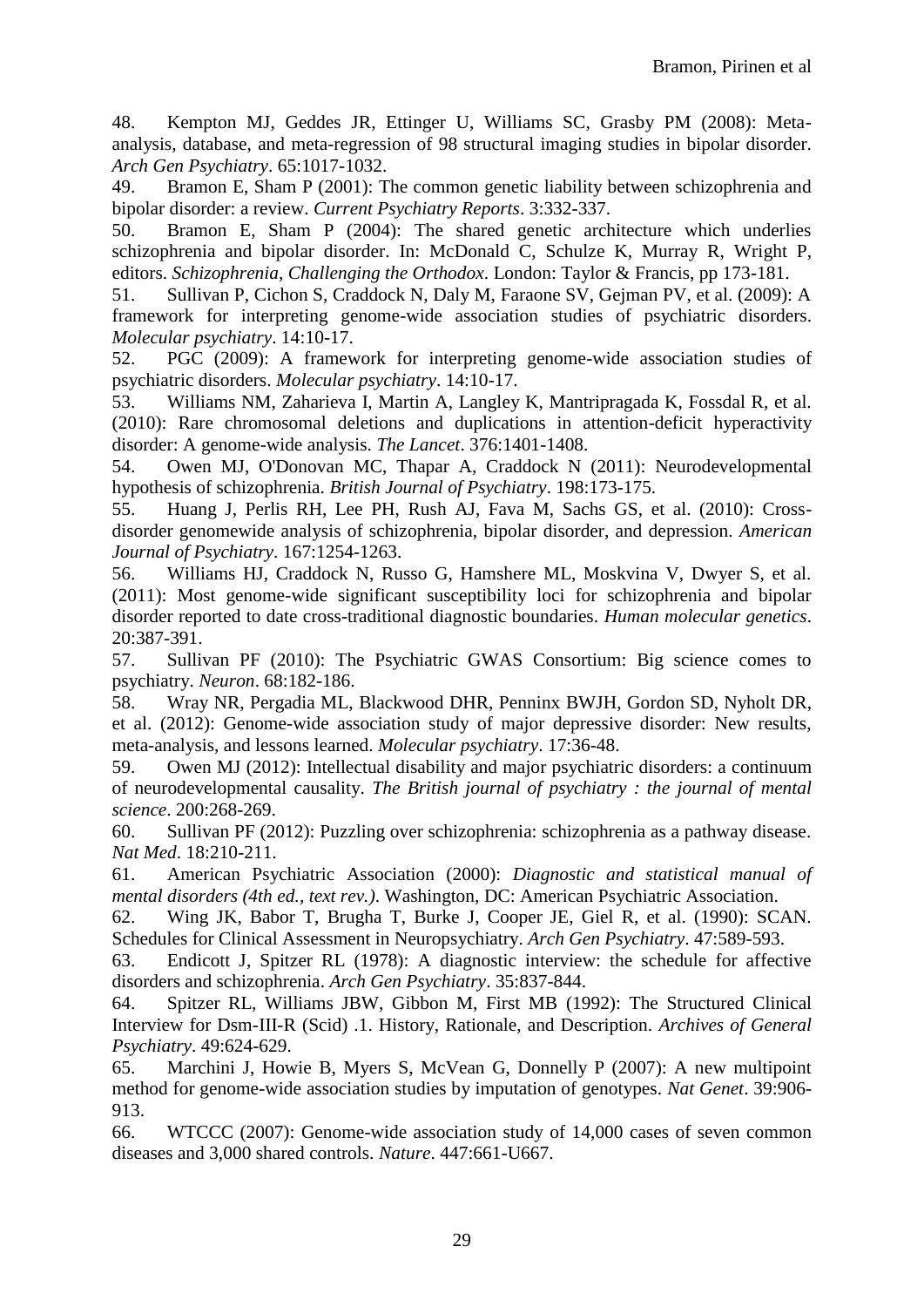48. Kempton MJ, Geddes JR, Ettinger U, Williams SC, Grasby PM (2008): Metaanalysis, database, and meta-regression of 98 structural imaging studies in bipolar disorder. *Arch Gen Psychiatry*. 65:1017-1032.

49. Bramon E, Sham P (2001): The common genetic liability between schizophrenia and bipolar disorder: a review. *Current Psychiatry Reports*. 3:332-337.

50. Bramon E, Sham P (2004): The shared genetic architecture which underlies schizophrenia and bipolar disorder. In: McDonald C, Schulze K, Murray R, Wright P, editors. *Schizophrenia, Challenging the Orthodox*. London: Taylor & Francis, pp 173-181.

<span id="page-28-0"></span>51. Sullivan P, Cichon S, Craddock N, Daly M, Faraone SV, Gejman PV, et al. (2009): A framework for interpreting genome-wide association studies of psychiatric disorders. *Molecular psychiatry*. 14:10-17.

<span id="page-28-6"></span>52. PGC (2009): A framework for interpreting genome-wide association studies of psychiatric disorders. *Molecular psychiatry*. 14:10-17.

53. Williams NM, Zaharieva I, Martin A, Langley K, Mantripragada K, Fossdal R, et al. (2010): Rare chromosomal deletions and duplications in attention-deficit hyperactivity disorder: A genome-wide analysis. *The Lancet*. 376:1401-1408.

54. Owen MJ, O'Donovan MC, Thapar A, Craddock N (2011): Neurodevelopmental hypothesis of schizophrenia. *British Journal of Psychiatry*. 198:173-175.

<span id="page-28-8"></span>55. Huang J, Perlis RH, Lee PH, Rush AJ, Fava M, Sachs GS, et al. (2010): Crossdisorder genomewide analysis of schizophrenia, bipolar disorder, and depression. *American Journal of Psychiatry*. 167:1254-1263.

<span id="page-28-9"></span>56. Williams HJ, Craddock N, Russo G, Hamshere ML, Moskvina V, Dwyer S, et al. (2011): Most genome-wide significant susceptibility loci for schizophrenia and bipolar disorder reported to date cross-traditional diagnostic boundaries. *Human molecular genetics*. 20:387-391.

<span id="page-28-5"></span>57. Sullivan PF (2010): The Psychiatric GWAS Consortium: Big science comes to psychiatry. *Neuron*. 68:182-186.

<span id="page-28-7"></span>58. Wray NR, Pergadia ML, Blackwood DHR, Penninx BWJH, Gordon SD, Nyholt DR, et al. (2012): Genome-wide association study of major depressive disorder: New results, meta-analysis, and lessons learned. *Molecular psychiatry*. 17:36-48.

<span id="page-28-10"></span>59. Owen MJ (2012): Intellectual disability and major psychiatric disorders: a continuum of neurodevelopmental causality. *The British journal of psychiatry : the journal of mental science*. 200:268-269.

60. Sullivan PF (2012): Puzzling over schizophrenia: schizophrenia as a pathway disease. *Nat Med*. 18:210-211.

<span id="page-28-1"></span>61. American Psychiatric Association (2000): *Diagnostic and statistical manual of mental disorders (4th ed., text rev.)*. Washington, DC: American Psychiatric Association.

<span id="page-28-2"></span>62. Wing JK, Babor T, Brugha T, Burke J, Cooper JE, Giel R, et al. (1990): SCAN. Schedules for Clinical Assessment in Neuropsychiatry. *Arch Gen Psychiatry*. 47:589-593.

63. Endicott J, Spitzer RL (1978): A diagnostic interview: the schedule for affective disorders and schizophrenia. *Arch Gen Psychiatry*. 35:837-844.

64. Spitzer RL, Williams JBW, Gibbon M, First MB (1992): The Structured Clinical Interview for Dsm-III-R (Scid) .1. History, Rationale, and Description. *Archives of General Psychiatry*. 49:624-629.

<span id="page-28-3"></span>65. Marchini J, Howie B, Myers S, McVean G, Donnelly P (2007): A new multipoint method for genome-wide association studies by imputation of genotypes. *Nat Genet*. 39:906- 913.

<span id="page-28-4"></span>66. WTCCC (2007): Genome-wide association study of 14,000 cases of seven common diseases and 3,000 shared controls. *Nature*. 447:661-U667.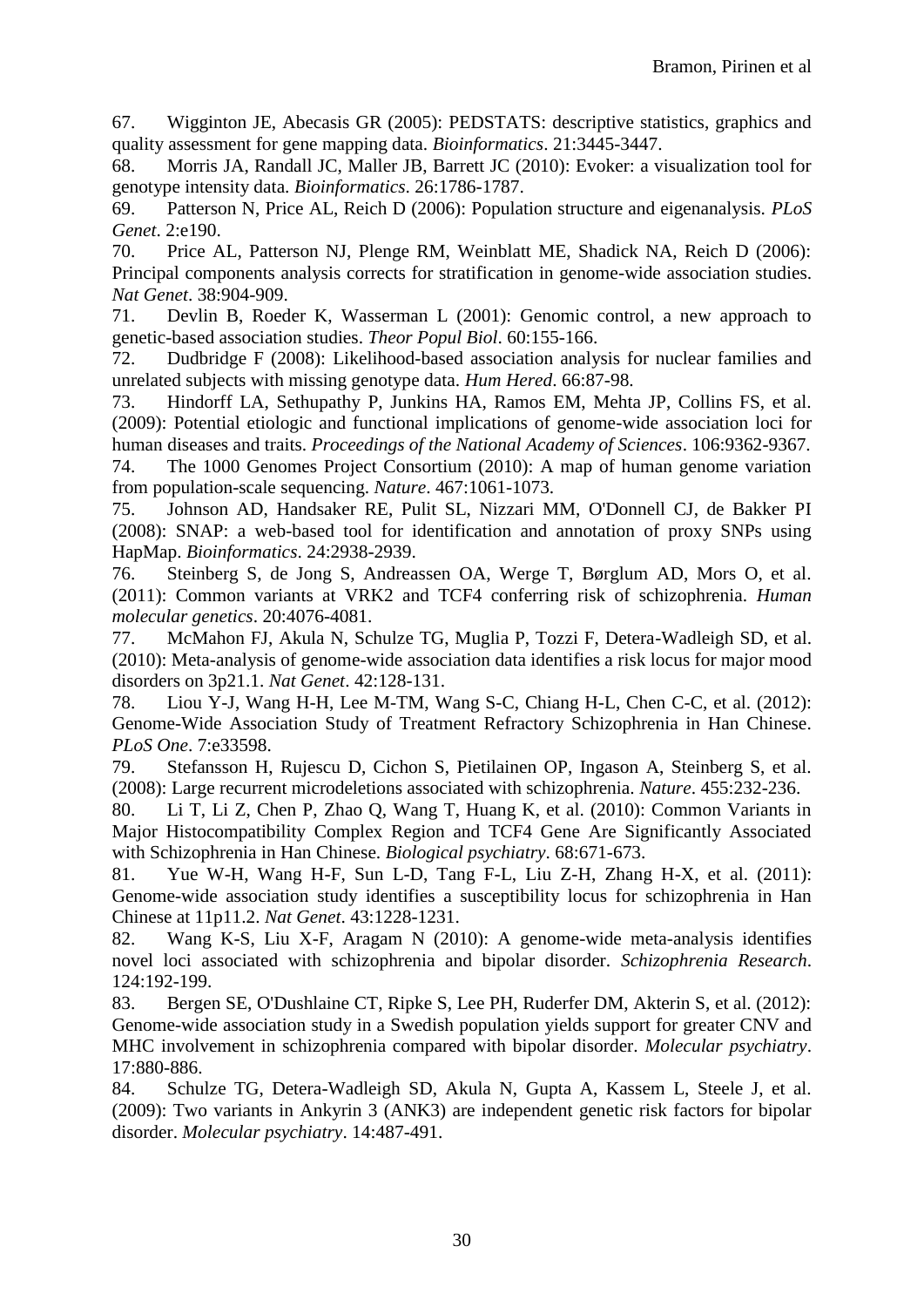<span id="page-29-10"></span><span id="page-29-0"></span>67. Wigginton JE, Abecasis GR (2005): PEDSTATS: descriptive statistics, graphics and quality assessment for gene mapping data. *Bioinformatics*. 21:3445-3447.

<span id="page-29-1"></span>68. Morris JA, Randall JC, Maller JB, Barrett JC (2010): Evoker: a visualization tool for genotype intensity data. *Bioinformatics*. 26:1786-1787.

<span id="page-29-11"></span><span id="page-29-2"></span>69. Patterson N, Price AL, Reich D (2006): Population structure and eigenanalysis. *PLoS Genet*. 2:e190.

<span id="page-29-3"></span>70. Price AL, Patterson NJ, Plenge RM, Weinblatt ME, Shadick NA, Reich D (2006): Principal components analysis corrects for stratification in genome-wide association studies. *Nat Genet*. 38:904-909.

<span id="page-29-12"></span><span id="page-29-4"></span>71. Devlin B, Roeder K, Wasserman L (2001): Genomic control, a new approach to genetic-based association studies. *Theor Popul Biol*. 60:155-166.

<span id="page-29-5"></span>72. Dudbridge F (2008): Likelihood-based association analysis for nuclear families and unrelated subjects with missing genotype data. *Hum Hered*. 66:87-98.

<span id="page-29-14"></span><span id="page-29-13"></span><span id="page-29-6"></span>73. Hindorff LA, Sethupathy P, Junkins HA, Ramos EM, Mehta JP, Collins FS, et al. (2009): Potential etiologic and functional implications of genome-wide association loci for human diseases and traits. *Proceedings of the National Academy of Sciences*. 106:9362-9367.

<span id="page-29-7"></span>74. The 1000 Genomes Project Consortium (2010): A map of human genome variation from population-scale sequencing. *Nature*. 467:1061-1073.

<span id="page-29-15"></span><span id="page-29-8"></span>75. Johnson AD, Handsaker RE, Pulit SL, Nizzari MM, O'Donnell CJ, de Bakker PI (2008): SNAP: a web-based tool for identification and annotation of proxy SNPs using HapMap. *Bioinformatics*. 24:2938-2939.

<span id="page-29-16"></span><span id="page-29-9"></span>76. Steinberg S, de Jong S, Andreassen OA, Werge T, Børglum AD, Mors O, et al. (2011): Common variants at VRK2 and TCF4 conferring risk of schizophrenia. *Human molecular genetics*. 20:4076-4081.

<span id="page-29-17"></span>77. McMahon FJ, Akula N, Schulze TG, Muglia P, Tozzi F, Detera-Wadleigh SD, et al. (2010): Meta-analysis of genome-wide association data identifies a risk locus for major mood disorders on 3p21.1. *Nat Genet*. 42:128-131.

<span id="page-29-18"></span>78. Liou Y-J, Wang H-H, Lee M-TM, Wang S-C, Chiang H-L, Chen C-C, et al. (2012): Genome-Wide Association Study of Treatment Refractory Schizophrenia in Han Chinese. *PLoS One*. 7:e33598.

79. Stefansson H, Rujescu D, Cichon S, Pietilainen OP, Ingason A, Steinberg S, et al. (2008): Large recurrent microdeletions associated with schizophrenia. *Nature*. 455:232-236.

80. Li T, Li Z, Chen P, Zhao Q, Wang T, Huang K, et al. (2010): Common Variants in Major Histocompatibility Complex Region and TCF4 Gene Are Significantly Associated with Schizophrenia in Han Chinese. *Biological psychiatry*. 68:671-673.

81. Yue W-H, Wang H-F, Sun L-D, Tang F-L, Liu Z-H, Zhang H-X, et al. (2011): Genome-wide association study identifies a susceptibility locus for schizophrenia in Han Chinese at 11p11.2. *Nat Genet*. 43:1228-1231.

82. Wang K-S, Liu X-F, Aragam N (2010): A genome-wide meta-analysis identifies novel loci associated with schizophrenia and bipolar disorder. *Schizophrenia Research*. 124:192-199.

83. Bergen SE, O'Dushlaine CT, Ripke S, Lee PH, Ruderfer DM, Akterin S, et al. (2012): Genome-wide association study in a Swedish population yields support for greater CNV and MHC involvement in schizophrenia compared with bipolar disorder. *Molecular psychiatry*. 17:880-886.

84. Schulze TG, Detera-Wadleigh SD, Akula N, Gupta A, Kassem L, Steele J, et al. (2009): Two variants in Ankyrin 3 (ANK3) are independent genetic risk factors for bipolar disorder. *Molecular psychiatry*. 14:487-491.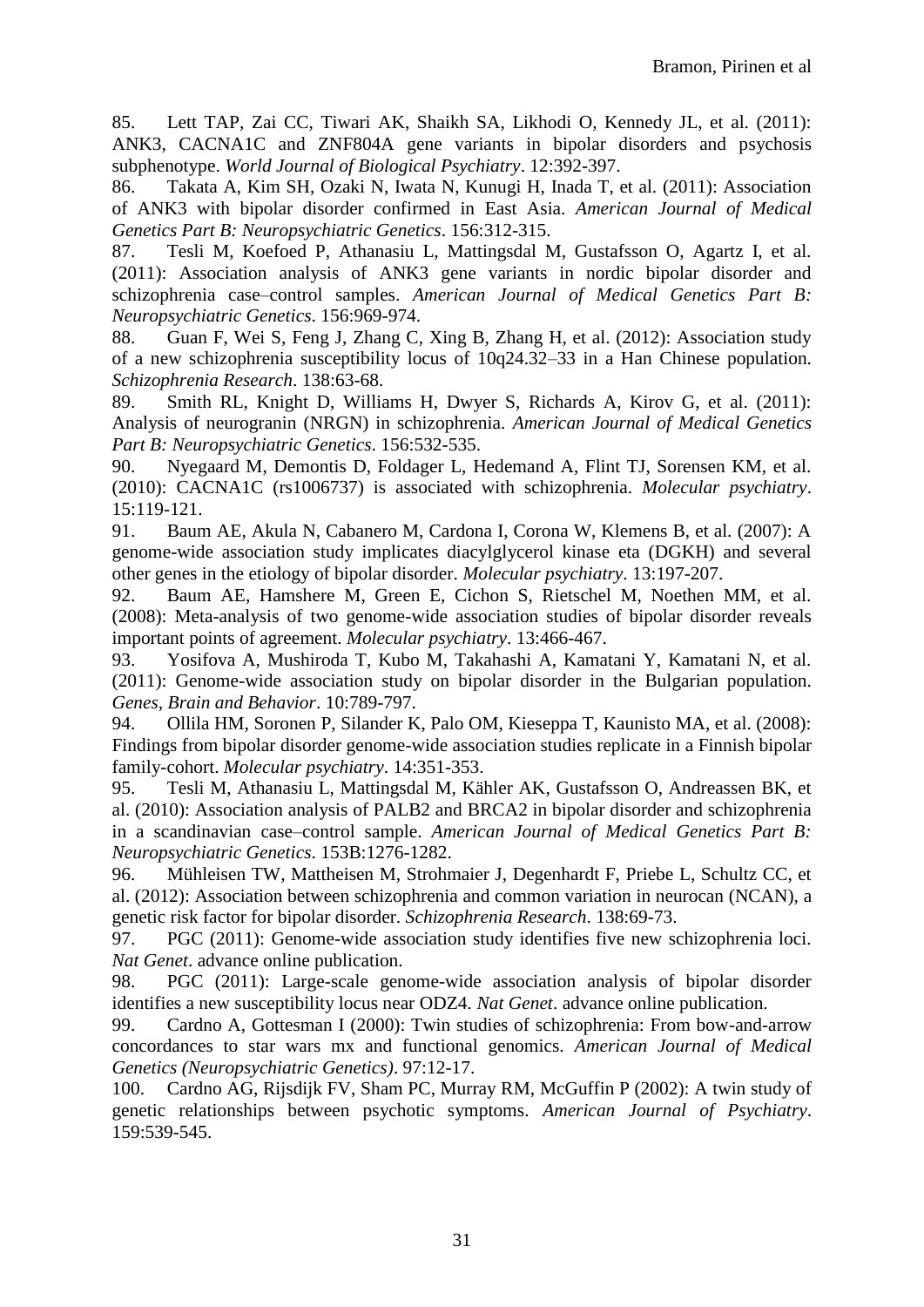<span id="page-30-6"></span><span id="page-30-5"></span><span id="page-30-4"></span><span id="page-30-3"></span>85. Lett TAP, Zai CC, Tiwari AK, Shaikh SA, Likhodi O, Kennedy JL, et al. (2011): ANK3, CACNA1C and ZNF804A gene variants in bipolar disorders and psychosis subphenotype. *World Journal of Biological Psychiatry*. 12:392-397.

86. Takata A, Kim SH, Ozaki N, Iwata N, Kunugi H, Inada T, et al. (2011): Association of ANK3 with bipolar disorder confirmed in East Asia. *American Journal of Medical Genetics Part B: Neuropsychiatric Genetics*. 156:312-315.

87. Tesli M, Koefoed P, Athanasiu L, Mattingsdal M, Gustafsson O, Agartz I, et al. (2011): Association analysis of ANK3 gene variants in nordic bipolar disorder and schizophrenia case–control samples. *American Journal of Medical Genetics Part B: Neuropsychiatric Genetics*. 156:969-974.

<span id="page-30-7"></span>88. Guan F, Wei S, Feng J, Zhang C, Xing B, Zhang H, et al. (2012): Association study of a new schizophrenia susceptibility locus of 10q24.32–33 in a Han Chinese population. *Schizophrenia Research*. 138:63-68.

<span id="page-30-8"></span>89. Smith RL, Knight D, Williams H, Dwyer S, Richards A, Kirov G, et al. (2011): Analysis of neurogranin (NRGN) in schizophrenia. *American Journal of Medical Genetics Part B: Neuropsychiatric Genetics*. 156:532-535.

<span id="page-30-9"></span>90. Nyegaard M, Demontis D, Foldager L, Hedemand A, Flint TJ, Sorensen KM, et al. (2010): CACNA1C (rs1006737) is associated with schizophrenia. *Molecular psychiatry*. 15:119-121.

91. Baum AE, Akula N, Cabanero M, Cardona I, Corona W, Klemens B, et al. (2007): A genome-wide association study implicates diacylglycerol kinase eta (DGKH) and several other genes in the etiology of bipolar disorder. *Molecular psychiatry*. 13:197-207.

92. Baum AE, Hamshere M, Green E, Cichon S, Rietschel M, Noethen MM, et al. (2008): Meta-analysis of two genome-wide association studies of bipolar disorder reveals important points of agreement. *Molecular psychiatry*. 13:466-467.

93. Yosifova A, Mushiroda T, Kubo M, Takahashi A, Kamatani Y, Kamatani N, et al. (2011): Genome-wide association study on bipolar disorder in the Bulgarian population. *Genes, Brain and Behavior*. 10:789-797.

94. Ollila HM, Soronen P, Silander K, Palo OM, Kieseppa T, Kaunisto MA, et al. (2008): Findings from bipolar disorder genome-wide association studies replicate in a Finnish bipolar family-cohort. *Molecular psychiatry*. 14:351-353.

95. Tesli M, Athanasiu L, Mattingsdal M, Kähler AK, Gustafsson O, Andreassen BK, et al. (2010): Association analysis of PALB2 and BRCA2 in bipolar disorder and schizophrenia in a scandinavian case–control sample. *American Journal of Medical Genetics Part B: Neuropsychiatric Genetics*. 153B:1276-1282.

96. Mühleisen TW, Mattheisen M, Strohmaier J, Degenhardt F, Priebe L, Schultz CC, et al. (2012): Association between schizophrenia and common variation in neurocan (NCAN), a genetic risk factor for bipolar disorder. *Schizophrenia Research*. 138:69-73.

<span id="page-30-0"></span>97. PGC (2011): Genome-wide association study identifies five new schizophrenia loci. *Nat Genet*. advance online publication.

<span id="page-30-1"></span>98. PGC (2011): Large-scale genome-wide association analysis of bipolar disorder identifies a new susceptibility locus near ODZ4. *Nat Genet*. advance online publication.

<span id="page-30-2"></span>99. Cardno A, Gottesman I (2000): Twin studies of schizophrenia: From bow-and-arrow concordances to star wars mx and functional genomics. *American Journal of Medical Genetics (Neuropsychiatric Genetics)*. 97:12-17.

100. Cardno AG, Rijsdijk FV, Sham PC, Murray RM, McGuffin P (2002): A twin study of genetic relationships between psychotic symptoms. *American Journal of Psychiatry*. 159:539-545.